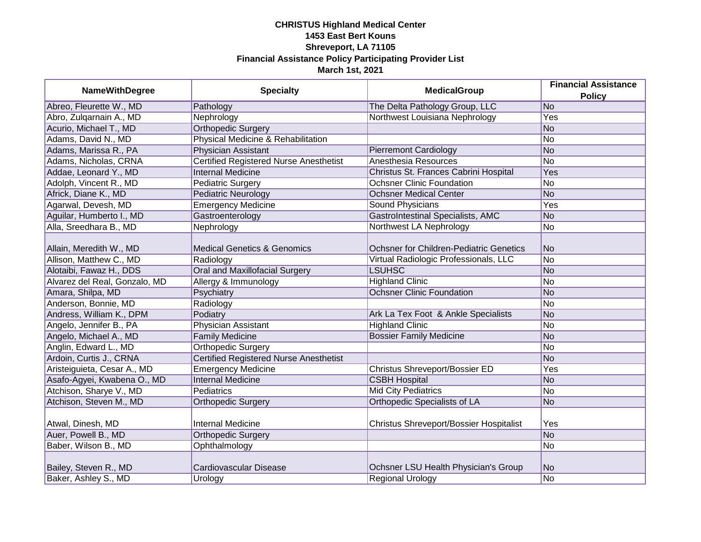| <b>NameWithDegree</b>         | <b>Specialty</b>                              | <b>MedicalGroup</b>                            | <b>Financial Assistance</b><br><b>Policy</b> |
|-------------------------------|-----------------------------------------------|------------------------------------------------|----------------------------------------------|
| Abreo, Fleurette W., MD       | Pathology                                     | The Delta Pathology Group, LLC                 | No                                           |
| Abro, Zulqarnain A., MD       | Nephrology                                    | Northwest Louisiana Nephrology                 | Yes                                          |
| Acurio, Michael T., MD        | <b>Orthopedic Surgery</b>                     |                                                | No                                           |
| Adams, David N., MD           | Physical Medicine & Rehabilitation            |                                                | No                                           |
| Adams, Marissa R., PA         | <b>Physician Assistant</b>                    | <b>Pierremont Cardiology</b>                   | No                                           |
| Adams, Nicholas, CRNA         | <b>Certified Registered Nurse Anesthetist</b> | Anesthesia Resources                           | No                                           |
| Addae, Leonard Y., MD         | <b>Internal Medicine</b>                      | Christus St. Frances Cabrini Hospital          | Yes                                          |
| Adolph, Vincent R., MD        | <b>Pediatric Surgery</b>                      | <b>Ochsner Clinic Foundation</b>               | No                                           |
| Africk, Diane K., MD          | <b>Pediatric Neurology</b>                    | <b>Ochsner Medical Center</b>                  | No                                           |
| Agarwal, Devesh, MD           | <b>Emergency Medicine</b>                     | Sound Physicians                               | Yes                                          |
| Aguilar, Humberto I., MD      | Gastroenterology                              | <b>GastroIntestinal Specialists, AMC</b>       | No                                           |
| Alla, Sreedhara B., MD        | Nephrology                                    | Northwest LA Nephrology                        | No                                           |
| Allain, Meredith W., MD       | <b>Medical Genetics &amp; Genomics</b>        | <b>Ochsner for Children-Pediatric Genetics</b> | No                                           |
| Allison, Matthew C., MD       | Radiology                                     | Virtual Radiologic Professionals, LLC          | No                                           |
| Alotaibi, Fawaz H., DDS       | <b>Oral and Maxillofacial Surgery</b>         | <b>LSUHSC</b>                                  | No                                           |
| Alvarez del Real, Gonzalo, MD | Allergy & Immunology                          | <b>Highland Clinic</b>                         | No                                           |
| Amara, Shilpa, MD             | Psychiatry                                    | <b>Ochsner Clinic Foundation</b>               | No                                           |
| Anderson, Bonnie, MD          | Radiology                                     |                                                | No                                           |
| Andress, William K., DPM      | Podiatry                                      | Ark La Tex Foot & Ankle Specialists            | No                                           |
| Angelo, Jennifer B., PA       | Physician Assistant                           | <b>Highland Clinic</b>                         | No                                           |
| Angelo, Michael A., MD        | <b>Family Medicine</b>                        | <b>Bossier Family Medicine</b>                 | No                                           |
| Anglin, Edward L., MD         | Orthopedic Surgery                            |                                                | No                                           |
| Ardoin, Curtis J., CRNA       | <b>Certified Registered Nurse Anesthetist</b> |                                                | No                                           |
| Aristeiguieta, Cesar A., MD   | <b>Emergency Medicine</b>                     | <b>Christus Shreveport/Bossier ED</b>          | Yes                                          |
| Asafo-Agyei, Kwabena O., MD   | <b>Internal Medicine</b>                      | <b>CSBH Hospital</b>                           | No                                           |
| Atchison, Sharye V., MD       | <b>Pediatrics</b>                             | <b>Mid City Pediatrics</b>                     | No                                           |
| Atchison, Steven M., MD       | <b>Orthopedic Surgery</b>                     | Orthopedic Specialists of LA                   | No                                           |
| Atwal, Dinesh, MD             | <b>Internal Medicine</b>                      | Christus Shreveport/Bossier Hospitalist        | Yes                                          |
| Auer, Powell B., MD           | <b>Orthopedic Surgery</b>                     |                                                | No.                                          |
| Baber, Wilson B., MD          | Ophthalmology                                 |                                                | No                                           |
| Bailey, Steven R., MD         | <b>Cardiovascular Disease</b>                 | Ochsner LSU Health Physician's Group           | No                                           |
| Baker, Ashley S., MD          | Urology                                       | <b>Regional Urology</b>                        | No                                           |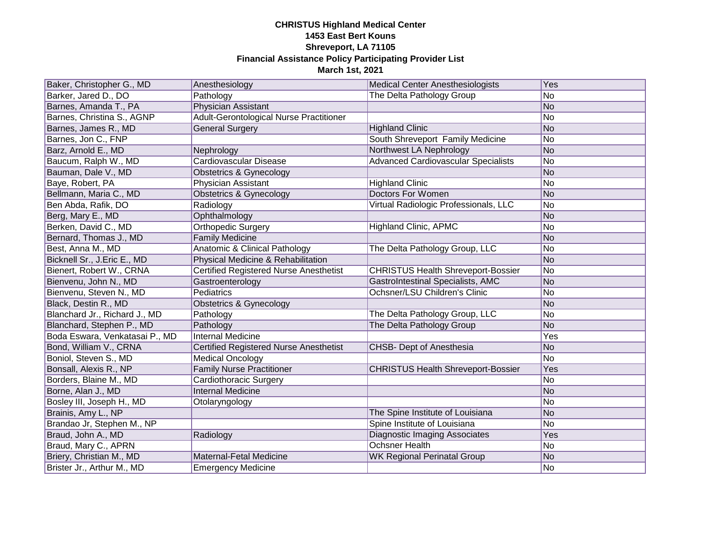| Baker, Christopher G., MD      | Anesthesiology                                | <b>Medical Center Anesthesiologists</b>    | Yes |
|--------------------------------|-----------------------------------------------|--------------------------------------------|-----|
| Barker, Jared D., DO           | Pathology                                     | The Delta Pathology Group                  | No  |
| Barnes, Amanda T., PA          | <b>Physician Assistant</b>                    |                                            | No  |
| Barnes, Christina S., AGNP     | Adult-Gerontological Nurse Practitioner       |                                            | No  |
| Barnes, James R., MD           | <b>General Surgery</b>                        | <b>Highland Clinic</b>                     | No  |
| Barnes, Jon C., FNP            |                                               | South Shreveport Family Medicine           | No  |
| Barz, Arnold E., MD            | Nephrology                                    | Northwest LA Nephrology                    | No  |
| Baucum, Ralph W., MD           | Cardiovascular Disease                        | <b>Advanced Cardiovascular Specialists</b> | No  |
| Bauman, Dale V., MD            | <b>Obstetrics &amp; Gynecology</b>            |                                            | No  |
| Baye, Robert, PA               | Physician Assistant                           | <b>Highland Clinic</b>                     | No  |
| Bellmann, Maria C., MD         | <b>Obstetrics &amp; Gynecology</b>            | Doctors For Women                          | No  |
| Ben Abda, Rafik, DO            | Radiology                                     | Virtual Radiologic Professionals, LLC      | No  |
| Berg, Mary E., MD              | Ophthalmology                                 |                                            | No  |
| Berken, David C., MD           | Orthopedic Surgery                            | <b>Highland Clinic, APMC</b>               | No  |
| Bernard, Thomas J., MD         | <b>Family Medicine</b>                        |                                            | No  |
| Best, Anna M., MD              | Anatomic & Clinical Pathology                 | The Delta Pathology Group, LLC             | No  |
| Bicknell Sr., J. Eric E., MD   | Physical Medicine & Rehabilitation            |                                            | No  |
| Bienert, Robert W., CRNA       | <b>Certified Registered Nurse Anesthetist</b> | <b>CHRISTUS Health Shreveport-Bossier</b>  | No  |
| Bienvenu, John N., MD          | Gastroenterology                              | <b>GastroIntestinal Specialists, AMC</b>   | No  |
| Bienvenu, Steven N., MD        | Pediatrics                                    | Ochsner/LSU Children's Clinic              | No  |
| Black, Destin R., MD           | <b>Obstetrics &amp; Gynecology</b>            |                                            | No  |
| Blanchard Jr., Richard J., MD  | Pathology                                     | The Delta Pathology Group, LLC             | No  |
| Blanchard, Stephen P., MD      | Pathology                                     | The Delta Pathology Group                  | No  |
| Boda Eswara, Venkatasai P., MD | <b>Internal Medicine</b>                      |                                            | Yes |
| Bond, William V., CRNA         | Certified Registered Nurse Anesthetist        | <b>CHSB- Dept of Anesthesia</b>            | No  |
| Boniol, Steven S., MD          | <b>Medical Oncology</b>                       |                                            | No  |
| Bonsall, Alexis R., NP         | <b>Family Nurse Practitioner</b>              | <b>CHRISTUS Health Shreveport-Bossier</b>  | Yes |
| Borders, Blaine M., MD         | Cardiothoracic Surgery                        |                                            | No  |
| Borne, Alan J., MD             | <b>Internal Medicine</b>                      |                                            | No  |
| Bosley III, Joseph H., MD      | Otolaryngology                                |                                            | No  |
| Brainis, Amy L., NP            |                                               | The Spine Institute of Louisiana           | No  |
| Brandao Jr, Stephen M., NP     |                                               | Spine Institute of Louisiana               | No  |
| Braud, John A., MD             | Radiology                                     | Diagnostic Imaging Associates              | Yes |
| Braud, Mary C., APRN           |                                               | <b>Ochsner Health</b>                      | No  |
| Briery, Christian M., MD       | Maternal-Fetal Medicine                       | <b>WK Regional Perinatal Group</b>         | No  |
| Brister Jr., Arthur M., MD     | <b>Emergency Medicine</b>                     |                                            | No  |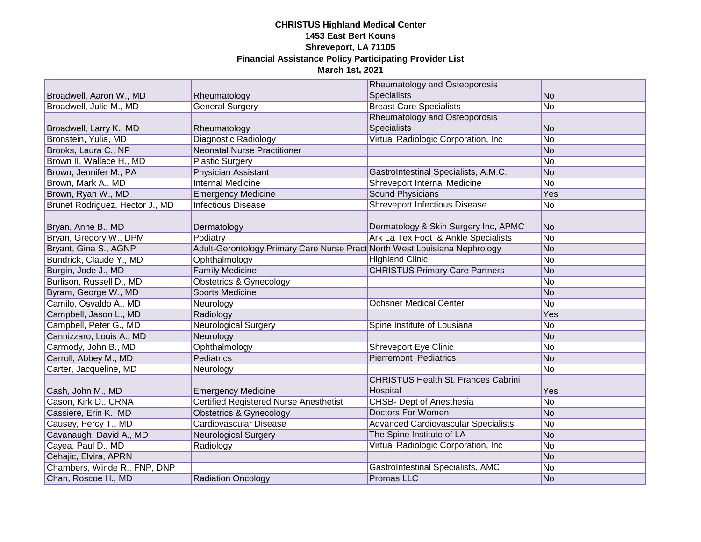|                                 |                                                                            | Rheumatology and Osteoporosis              |     |
|---------------------------------|----------------------------------------------------------------------------|--------------------------------------------|-----|
| Broadwell, Aaron W., MD         | Rheumatology                                                               | <b>Specialists</b>                         | No  |
| Broadwell, Julie M., MD         | <b>General Surgery</b>                                                     | <b>Breast Care Specialists</b>             | No  |
|                                 |                                                                            | Rheumatology and Osteoporosis              |     |
| Broadwell, Larry K., MD         | Rheumatology                                                               | <b>Specialists</b>                         | No  |
| Bronstein, Yulia, MD            | Diagnostic Radiology                                                       | Virtual Radiologic Corporation, Inc        | No  |
| Brooks, Laura C., NP            | <b>Neonatal Nurse Practitioner</b>                                         |                                            | No  |
| Brown II, Wallace H., MD        | <b>Plastic Surgery</b>                                                     |                                            | No  |
| Brown, Jennifer M., PA          | Physician Assistant                                                        | GastroIntestinal Specialists, A.M.C.       | No  |
| Brown, Mark A., MD              | <b>Internal Medicine</b>                                                   | <b>Shreveport Internal Medicine</b>        | No  |
| Brown, Ryan W., MD              | <b>Emergency Medicine</b>                                                  | <b>Sound Physicians</b>                    | Yes |
| Brunet Rodriguez, Hector J., MD | <b>Infectious Disease</b>                                                  | <b>Shreveport Infectious Disease</b>       | No  |
|                                 |                                                                            |                                            |     |
| Bryan, Anne B., MD              | Dermatology                                                                | Dermatology & Skin Surgery Inc, APMC       | No  |
| Bryan, Gregory W., DPM          | Podiatry                                                                   | Ark La Tex Foot & Ankle Specialists        | No  |
| Bryant, Gina S., AGNP           | Adult-Gerontology Primary Care Nurse Pract North West Louisiana Nephrology |                                            | No  |
| Bundrick, Claude Y., MD         | Ophthalmology                                                              | <b>Highland Clinic</b>                     | No  |
| Burgin, Jode J., MD             | <b>Family Medicine</b>                                                     | <b>CHRISTUS Primary Care Partners</b>      | No  |
| Burlison, Russell D., MD        | Obstetrics & Gynecology                                                    |                                            | No  |
| Byram, George W., MD            | <b>Sports Medicine</b>                                                     |                                            | No  |
| Camilo, Osvaldo A., MD          | Neurology                                                                  | <b>Ochsner Medical Center</b>              | No  |
| Campbell, Jason L., MD          | Radiology                                                                  |                                            | Yes |
| Campbell, Peter G., MD          | Neurological Surgery                                                       | Spine Institute of Lousiana                | No  |
| Cannizzaro, Louis A., MD        | Neurology                                                                  |                                            | No  |
| Carmody, John B., MD            | Ophthalmology                                                              | <b>Shreveport Eye Clinic</b>               | No  |
| Carroll, Abbey M., MD           | Pediatrics                                                                 | <b>Pierremont Pediatrics</b>               | No  |
| Carter, Jacqueline, MD          | Neurology                                                                  |                                            | No  |
|                                 |                                                                            | <b>CHRISTUS Health St. Frances Cabrini</b> |     |
| Cash, John M., MD               | <b>Emergency Medicine</b>                                                  | Hospital                                   | Yes |
| Cason, Kirk D., CRNA            | <b>Certified Registered Nurse Anesthetist</b>                              | <b>CHSB- Dept of Anesthesia</b>            | No  |
| Cassiere, Erin K., MD           | <b>Obstetrics &amp; Gynecology</b>                                         | Doctors For Women                          | No  |
| Causey, Percy T., MD            | Cardiovascular Disease                                                     | <b>Advanced Cardiovascular Specialists</b> | No  |
| Cavanaugh, David A., MD         | <b>Neurological Surgery</b>                                                | The Spine Institute of LA                  | No  |
| Cayea, Paul D., MD              | Radiology                                                                  | Virtual Radiologic Corporation, Inc        | No  |
| Cehajic, Elvira, APRN           |                                                                            |                                            | No  |
| Chambers, Winde R., FNP, DNP    |                                                                            | GastroIntestinal Specialists, AMC          | No  |
| Chan, Roscoe H., MD             | <b>Radiation Oncology</b>                                                  | Promas LLC                                 | No  |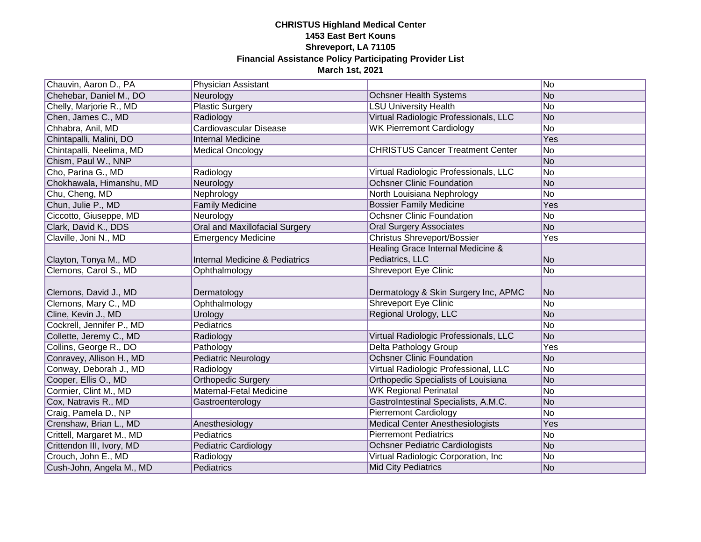| Chauvin, Aaron D., PA                           | Physician Assistant                       |                                                                   | No        |
|-------------------------------------------------|-------------------------------------------|-------------------------------------------------------------------|-----------|
| Chehebar, Daniel M., DO                         | Neurology                                 | <b>Ochsner Health Systems</b>                                     | No        |
| Chelly, Marjorie R., MD                         | <b>Plastic Surgery</b>                    | <b>LSU University Health</b>                                      | No        |
| Chen, James C., MD                              | Radiology                                 | Virtual Radiologic Professionals, LLC                             | <b>No</b> |
| Chhabra, Anil, MD                               | Cardiovascular Disease                    | <b>WK Pierremont Cardiology</b>                                   | No        |
| Chintapalli, Malini, DO                         | <b>Internal Medicine</b>                  |                                                                   | Yes       |
| Chintapalli, Neelima, MD                        | <b>Medical Oncology</b>                   | <b>CHRISTUS Cancer Treatment Center</b>                           | No        |
| Chism, Paul W., NNP                             |                                           |                                                                   | No        |
| Cho, Parina G., MD                              | Radiology                                 | Virtual Radiologic Professionals, LLC                             | No        |
| Chokhawala, Himanshu, MD                        | Neurology                                 | <b>Ochsner Clinic Foundation</b>                                  | <b>No</b> |
| Chu, Cheng, MD                                  | Nephrology                                | North Louisiana Nephrology                                        | No        |
| Chun, Julie P., MD                              | <b>Family Medicine</b>                    | <b>Bossier Family Medicine</b>                                    | Yes       |
| Ciccotto, Giuseppe, MD                          | Neurology                                 | <b>Ochsner Clinic Foundation</b>                                  | No        |
| Clark, David K., DDS                            | Oral and Maxillofacial Surgery            | <b>Oral Surgery Associates</b>                                    | <b>No</b> |
| Claville, Joni N., MD                           | <b>Emergency Medicine</b>                 | <b>Christus Shreveport/Bossier</b>                                | Yes       |
|                                                 |                                           | Healing Grace Internal Medicine &                                 |           |
| Clayton, Tonya M., MD                           | <b>Internal Medicine &amp; Pediatrics</b> | Pediatrics, LLC                                                   | No        |
| Clemons, Carol S., MD                           | Ophthalmology                             | Shreveport Eye Clinic                                             | No        |
|                                                 |                                           |                                                                   |           |
|                                                 |                                           |                                                                   |           |
| Clemons, David J., MD                           | Dermatology                               | Dermatology & Skin Surgery Inc, APMC                              | No        |
| Clemons, Mary C., MD                            | Ophthalmology                             | <b>Shreveport Eye Clinic</b>                                      | No        |
| Cline, Kevin J., MD                             | Urology                                   | Regional Urology, LLC                                             | No        |
| Cockrell, Jennifer P., MD                       | Pediatrics                                |                                                                   | No        |
| Collette, Jeremy C., MD                         | Radiology                                 | Virtual Radiologic Professionals, LLC                             | No        |
| Collins, George R., DO                          | Pathology                                 | <b>Delta Pathology Group</b>                                      | Yes       |
| Conravey, Allison H., MD                        | <b>Pediatric Neurology</b>                | <b>Ochsner Clinic Foundation</b>                                  | No        |
| Conway, Deborah J., MD                          | Radiology                                 | Virtual Radiologic Professional, LLC                              | No        |
| Cooper, Ellis O., MD                            | <b>Orthopedic Surgery</b>                 | Orthopedic Specialists of Louisiana                               | No        |
| Cormier, Clint M., MD                           | Maternal-Fetal Medicine                   | <b>WK Regional Perinatal</b>                                      | No        |
| Cox, Natravis R., MD                            | Gastroenterology                          | GastroIntestinal Specialists, A.M.C.                              | No        |
| Craig, Pamela D., NP                            |                                           | <b>Pierremont Cardiology</b>                                      | No        |
| Crenshaw, Brian L., MD                          | Anesthesiology                            | <b>Medical Center Anesthesiologists</b>                           | Yes       |
| Crittell, Margaret M., MD                       | Pediatrics                                | <b>Pierremont Pediatrics</b>                                      | No        |
| Crittendon III, Ivory, MD                       | <b>Pediatric Cardiology</b>               | <b>Ochsner Pediatric Cardiologists</b>                            | No        |
| Crouch, John E., MD<br>Cush-John, Angela M., MD | Radiology<br>Pediatrics                   | Virtual Radiologic Corporation, Inc<br><b>Mid City Pediatrics</b> | No<br>No  |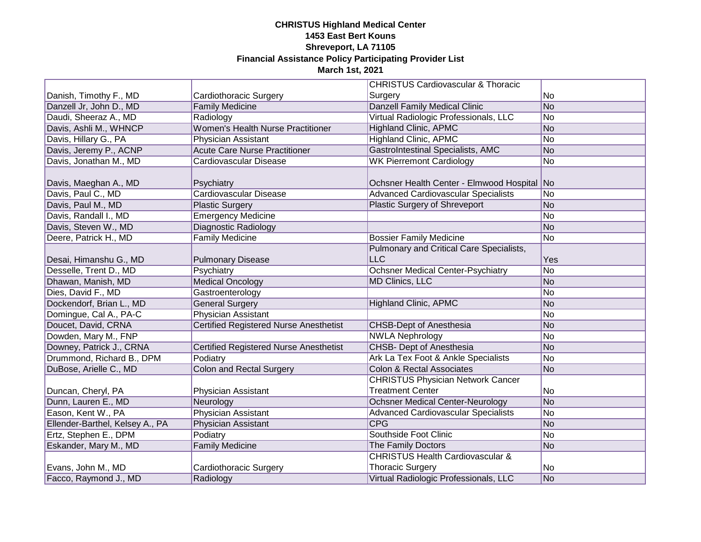|                                 |                                        | <b>CHRISTUS Cardiovascular &amp; Thoracic</b> |     |
|---------------------------------|----------------------------------------|-----------------------------------------------|-----|
| Danish, Timothy F., MD          | Cardiothoracic Surgery                 | Surgery                                       | No  |
| Danzell Jr, John D., MD         | <b>Family Medicine</b>                 | <b>Danzell Family Medical Clinic</b>          | No  |
| Daudi, Sheeraz A., MD           | Radiology                              | Virtual Radiologic Professionals, LLC         | No  |
| Davis, Ashli M., WHNCP          | Women's Health Nurse Practitioner      | <b>Highland Clinic, APMC</b>                  | No  |
| Davis, Hillary G., PA           | Physician Assistant                    | <b>Highland Clinic, APMC</b>                  | No  |
| Davis, Jeremy P., ACNP          | <b>Acute Care Nurse Practitioner</b>   | GastroIntestinal Specialists, AMC             | No  |
| Davis, Jonathan M., MD          | Cardiovascular Disease                 | <b>WK Pierremont Cardiology</b>               | No  |
|                                 |                                        |                                               |     |
| Davis, Maeghan A., MD           | Psychiatry                             | Ochsner Health Center - Elmwood Hospital No   |     |
| Davis, Paul C., MD              | Cardiovascular Disease                 | <b>Advanced Cardiovascular Specialists</b>    | No  |
| Davis, Paul M., MD              | <b>Plastic Surgery</b>                 | <b>Plastic Surgery of Shreveport</b>          | No  |
| Davis, Randall I., MD           | <b>Emergency Medicine</b>              |                                               | No  |
| Davis, Steven W., MD            | <b>Diagnostic Radiology</b>            |                                               | No  |
| Deere, Patrick H., MD           | <b>Family Medicine</b>                 | <b>Bossier Family Medicine</b>                | No  |
|                                 |                                        | Pulmonary and Critical Care Specialists,      |     |
| Desai, Himanshu G., MD          | <b>Pulmonary Disease</b>               | LLC                                           | Yes |
| Desselle, Trent D., MD          | Psychiatry                             | Ochsner Medical Center-Psychiatry             | No  |
| Dhawan, Manish, MD              | <b>Medical Oncology</b>                | <b>MD Clinics, LLC</b>                        | No  |
| Dies, David F., MD              | Gastroenterology                       |                                               | No  |
| Dockendorf, Brian L., MD        | <b>General Surgery</b>                 | <b>Highland Clinic, APMC</b>                  | No  |
| Domingue, Cal A., PA-C          | Physician Assistant                    |                                               | No  |
| Doucet, David, CRNA             | Certified Registered Nurse Anesthetist | <b>CHSB-Dept of Anesthesia</b>                | No  |
| Dowden, Mary M., FNP            |                                        | <b>NWLA Nephrology</b>                        | No  |
| Downey, Patrick J., CRNA        | Certified Registered Nurse Anesthetist | CHSB- Dept of Anesthesia                      | No  |
| Drummond, Richard B., DPM       | Podiatry                               | Ark La Tex Foot & Ankle Specialists           | No  |
| DuBose, Arielle C., MD          | <b>Colon and Rectal Surgery</b>        | <b>Colon &amp; Rectal Associates</b>          | No  |
|                                 |                                        | <b>CHRISTUS Physician Network Cancer</b>      |     |
| Duncan, Cheryl, PA              | Physician Assistant                    | <b>Treatment Center</b>                       | No  |
| Dunn, Lauren E., MD             | Neurology                              | <b>Ochsner Medical Center-Neurology</b>       | No  |
| Eason, Kent W., PA              | <b>Physician Assistant</b>             | <b>Advanced Cardiovascular Specialists</b>    | No  |
| Ellender-Barthel, Kelsey A., PA | <b>Physician Assistant</b>             | <b>CPG</b>                                    | No  |
| Ertz, Stephen E., DPM           | Podiatry                               | Southside Foot Clinic                         | No  |
| Eskander, Mary M., MD           | <b>Family Medicine</b>                 | The Family Doctors                            | No  |
|                                 |                                        | <b>CHRISTUS Health Cardiovascular &amp;</b>   |     |
| Evans, John M., MD              | Cardiothoracic Surgery                 | <b>Thoracic Surgery</b>                       | No  |
| Facco, Raymond J., MD           | Radiology                              | Virtual Radiologic Professionals, LLC         | No  |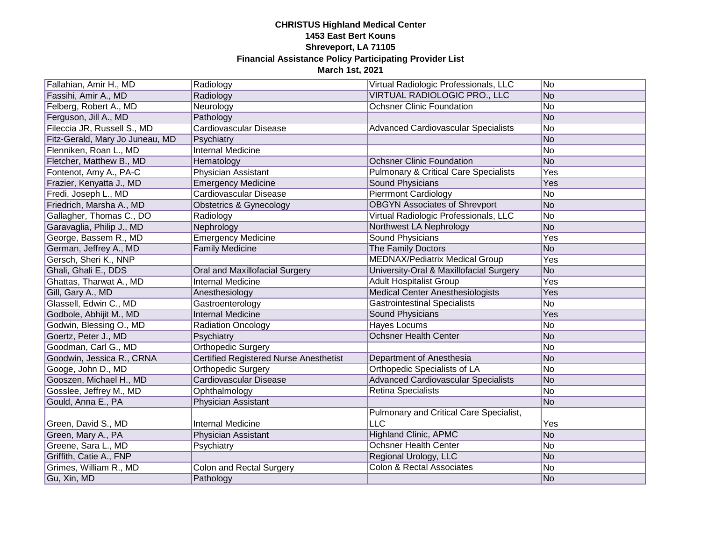| Fallahian, Amir H., MD          | Radiology                                     | Virtual Radiologic Professionals, LLC            | No        |
|---------------------------------|-----------------------------------------------|--------------------------------------------------|-----------|
| Fassihi, Amir A., MD            | Radiology                                     | VIRTUAL RADIOLOGIC PRO., LLC                     | <b>No</b> |
| Felberg, Robert A., MD          | Neurology                                     | <b>Ochsner Clinic Foundation</b>                 | No        |
| Ferguson, Jill A., MD           | Pathology                                     |                                                  | No        |
| Fileccia JR, Russell S., MD     | Cardiovascular Disease                        | <b>Advanced Cardiovascular Specialists</b>       | No        |
| Fitz-Gerald, Mary Jo Juneau, MD | Psychiatry                                    |                                                  | <b>No</b> |
| Flenniken, Roan L., MD          | <b>Internal Medicine</b>                      |                                                  | No        |
| Fletcher, Matthew B., MD        | Hematology                                    | <b>Ochsner Clinic Foundation</b>                 | <b>No</b> |
| Fontenot, Amy A., PA-C          | Physician Assistant                           | <b>Pulmonary &amp; Critical Care Specialists</b> | Yes       |
| Frazier, Kenyatta J., MD        | <b>Emergency Medicine</b>                     | <b>Sound Physicians</b>                          | Yes       |
| Fredi, Joseph L., MD            | Cardiovascular Disease                        | <b>Pierrmont Cardiology</b>                      | No        |
| Friedrich, Marsha A., MD        | Obstetrics & Gynecology                       | <b>OBGYN Associates of Shrevport</b>             | <b>No</b> |
| Gallagher, Thomas C., DO        | Radiology                                     | Virtual Radiologic Professionals, LLC            | No        |
| Garavaglia, Philip J., MD       | Nephrology                                    | Northwest LA Nephrology                          | <b>No</b> |
| George, Bassem R., MD           | <b>Emergency Medicine</b>                     | <b>Sound Physicians</b>                          | Yes       |
| German, Jeffrey A., MD          | <b>Family Medicine</b>                        | The Family Doctors                               | <b>No</b> |
| Gersch, Sheri K., NNP           |                                               | <b>MEDNAX/Pediatrix Medical Group</b>            | Yes       |
| Ghali, Ghali E., DDS            | Oral and Maxillofacial Surgery                | University-Oral & Maxillofacial Surgery          | <b>No</b> |
| Ghattas, Tharwat A., MD         | <b>Internal Medicine</b>                      | <b>Adult Hospitalist Group</b>                   | Yes       |
| Gill, Gary A., MD               | Anesthesiology                                | <b>Medical Center Anesthesiologists</b>          | Yes       |
| Glassell, Edwin C., MD          | Gastroenterology                              | <b>Gastrointestinal Specialists</b>              | No        |
| Godbole, Abhijit M., MD         | <b>Internal Medicine</b>                      | Sound Physicians                                 | Yes       |
| Godwin, Blessing O., MD         | <b>Radiation Oncology</b>                     | <b>Hayes Locums</b>                              | No        |
| Goertz, Peter J., MD            | Psychiatry                                    | <b>Ochsner Health Center</b>                     | No        |
| Goodman, Carl G., MD            | Orthopedic Surgery                            |                                                  | No        |
| Goodwin, Jessica R., CRNA       | <b>Certified Registered Nurse Anesthetist</b> | Department of Anesthesia                         | No        |
| Googe, John D., MD              | <b>Orthopedic Surgery</b>                     | Orthopedic Specialists of LA                     | No        |
| Gooszen, Michael H., MD         | <b>Cardiovascular Disease</b>                 | <b>Advanced Cardiovascular Specialists</b>       | No        |
| Gosslee, Jeffrey M., MD         | Ophthalmology                                 | <b>Retina Specialists</b>                        | No        |
| Gould, Anna E., PA              | Physician Assistant                           |                                                  | No        |
|                                 |                                               | Pulmonary and Critical Care Specialist,          |           |
| Green, David S., MD             | <b>Internal Medicine</b>                      | LLC                                              | Yes       |
| Green, Mary A., PA              | Physician Assistant                           | <b>Highland Clinic, APMC</b>                     | No        |
| Greene, Sara L., MD             | Psychiatry                                    | <b>Ochsner Health Center</b>                     | No        |
| Griffith, Catie A., FNP         |                                               | Regional Urology, LLC                            | No        |
| Grimes, William R., MD          | <b>Colon and Rectal Surgery</b>               | <b>Colon &amp; Rectal Associates</b>             | No        |
| Gu, Xin, MD                     | Pathology                                     |                                                  | No        |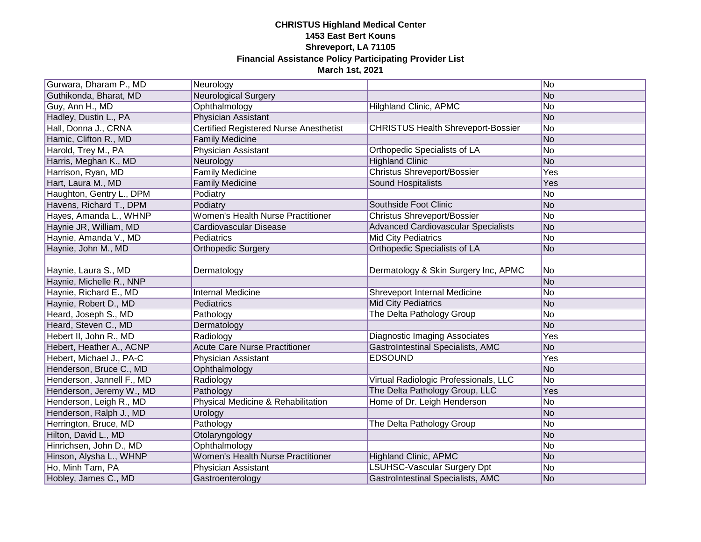| Gurwara, Dharam P., MD    | Neurology                                     |                                            | No  |
|---------------------------|-----------------------------------------------|--------------------------------------------|-----|
| Guthikonda, Bharat, MD    | Neurological Surgery                          |                                            | No  |
| Guy, Ann H., MD           | Ophthalmology                                 | Hilghland Clinic, APMC                     | No  |
| Hadley, Dustin L., PA     | Physician Assistant                           |                                            | No  |
| Hall, Donna J., CRNA      | <b>Certified Registered Nurse Anesthetist</b> | <b>CHRISTUS Health Shreveport-Bossier</b>  | No  |
| Hamic, Clifton R., MD     | <b>Family Medicine</b>                        |                                            | No  |
| Harold, Trey M., PA       | Physician Assistant                           | Orthopedic Specialists of LA               | No  |
| Harris, Meghan K., MD     | Neurology                                     | <b>Highland Clinic</b>                     | No  |
| Harrison, Ryan, MD        | <b>Family Medicine</b>                        | <b>Christus Shreveport/Bossier</b>         | Yes |
| Hart, Laura M., MD        | <b>Family Medicine</b>                        | <b>Sound Hospitalists</b>                  | Yes |
| Haughton, Gentry L., DPM  | Podiatry                                      |                                            | No  |
| Havens, Richard T., DPM   | Podiatry                                      | Southside Foot Clinic                      | No  |
| Hayes, Amanda L., WHNP    | <b>Women's Health Nurse Practitioner</b>      | <b>Christus Shreveport/Bossier</b>         | No  |
| Haynie JR, William, MD    | Cardiovascular Disease                        | <b>Advanced Cardiovascular Specialists</b> | No  |
| Haynie, Amanda V., MD     | Pediatrics                                    | <b>Mid City Pediatrics</b>                 | No  |
| Haynie, John M., MD       | <b>Orthopedic Surgery</b>                     | Orthopedic Specialists of LA               | No  |
| Haynie, Laura S., MD      | Dermatology                                   | Dermatology & Skin Surgery Inc, APMC       | No  |
| Haynie, Michelle R., NNP  |                                               |                                            | No  |
| Haynie, Richard E., MD    | <b>Internal Medicine</b>                      | Shreveport Internal Medicine               | No  |
| Haynie, Robert D., MD     | Pediatrics                                    | <b>Mid City Pediatrics</b>                 | No  |
| Heard, Joseph S., MD      | Pathology                                     | The Delta Pathology Group                  | No  |
| Heard, Steven C., MD      | Dermatology                                   |                                            | No  |
| Hebert II, John R., MD    | Radiology                                     | <b>Diagnostic Imaging Associates</b>       | Yes |
| Hebert, Heather A., ACNP  | <b>Acute Care Nurse Practitioner</b>          | <b>GastroIntestinal Specialists, AMC</b>   | No  |
| Hebert, Michael J., PA-C  | Physician Assistant                           | <b>EDSOUND</b>                             | Yes |
| Henderson, Bruce C., MD   | Ophthalmology                                 |                                            | No  |
| Henderson, Jannell F., MD | Radiology                                     | Virtual Radiologic Professionals, LLC      | No  |
| Henderson, Jeremy W., MD  | Pathology                                     | The Delta Pathology Group, LLC             | Yes |
| Henderson, Leigh R., MD   | Physical Medicine & Rehabilitation            | Home of Dr. Leigh Henderson                | No  |
| Henderson, Ralph J., MD   | Urology                                       |                                            | No  |
| Herrington, Bruce, MD     | Pathology                                     | The Delta Pathology Group                  | No  |
| Hilton, David L., MD      | Otolaryngology                                |                                            | No  |
| Hinrichsen, John D., MD   | Ophthalmology                                 |                                            | No  |
| Hinson, Alysha L., WHNP   | <b>Women's Health Nurse Practitioner</b>      | <b>Highland Clinic, APMC</b>               | No  |
| Ho, Minh Tam, PA          | Physician Assistant                           | LSUHSC-Vascular Surgery Dpt                | No  |
| Hobley, James C., MD      | Gastroenterology                              | GastroIntestinal Specialists, AMC          | No  |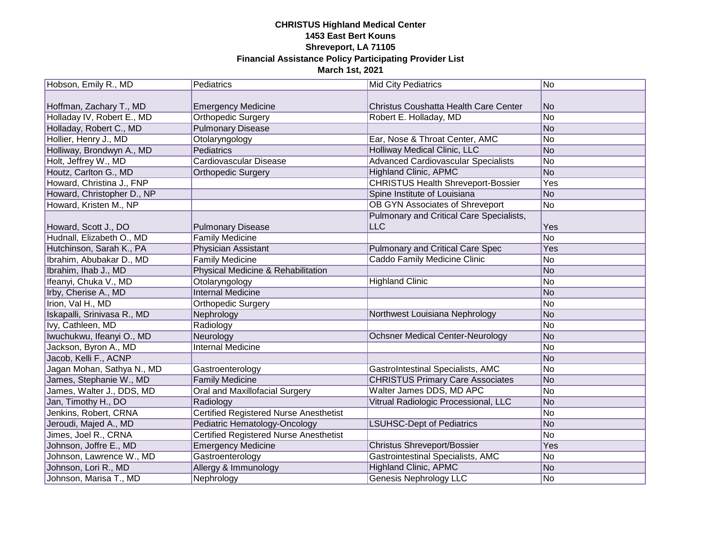| Hobson, Emily R., MD        | Pediatrics                                    | <b>Mid City Pediatrics</b>                 | No  |
|-----------------------------|-----------------------------------------------|--------------------------------------------|-----|
|                             |                                               |                                            |     |
| Hoffman, Zachary T., MD     | <b>Emergency Medicine</b>                     | Christus Coushatta Health Care Center      | No  |
| Holladay IV, Robert E., MD  | Orthopedic Surgery                            | Robert E. Holladay, MD                     | No  |
| Holladay, Robert C., MD     | <b>Pulmonary Disease</b>                      |                                            | No  |
| Hollier, Henry J., MD       | Otolaryngology                                | Ear, Nose & Throat Center, AMC             | No  |
| Holliway, Brondwyn A., MD   | Pediatrics                                    | <b>Holliway Medical Clinic, LLC</b>        | No  |
| Holt, Jeffrey W., MD        | Cardiovascular Disease                        | <b>Advanced Cardiovascular Specialists</b> | No  |
| Houtz, Carlton G., MD       | <b>Orthopedic Surgery</b>                     | <b>Highland Clinic, APMC</b>               | No  |
| Howard, Christina J., FNP   |                                               | <b>CHRISTUS Health Shreveport-Bossier</b>  | Yes |
| Howard, Christopher D., NP  |                                               | Spine Institute of Louisiana               | No  |
| Howard, Kristen M., NP      |                                               | <b>OB GYN Associates of Shreveport</b>     | No  |
|                             |                                               | Pulmonary and Critical Care Specialists,   |     |
| Howard, Scott J., DO        | <b>Pulmonary Disease</b>                      | <b>LLC</b>                                 | Yes |
| Hudnall, Elizabeth O., MD   | <b>Family Medicine</b>                        |                                            | No  |
| Hutchinson, Sarah K., PA    | Physician Assistant                           | Pulmonary and Critical Care Spec           | Yes |
| Ibrahim, Abubakar D., MD    | <b>Family Medicine</b>                        | Caddo Family Medicine Clinic               | No  |
| Ibrahim, Ihab J., MD        | Physical Medicine & Rehabilitation            |                                            | No  |
| Ifeanyi, Chuka V., MD       | Otolaryngology                                | <b>Highland Clinic</b>                     | No  |
| Irby, Cherise A., MD        | <b>Internal Medicine</b>                      |                                            | No  |
| Irion, Val H., MD           | <b>Orthopedic Surgery</b>                     |                                            | No  |
| Iskapalli, Srinivasa R., MD | Nephrology                                    | Northwest Louisiana Nephrology             | No  |
| Ivy, Cathleen, MD           | Radiology                                     |                                            | No  |
| Iwuchukwu, Ifeanyi O., MD   | Neurology                                     | <b>Ochsner Medical Center-Neurology</b>    | No  |
| Jackson, Byron A., MD       | <b>Internal Medicine</b>                      |                                            | No  |
| Jacob, Kelli F., ACNP       |                                               |                                            | No  |
| Jagan Mohan, Sathya N., MD  | Gastroenterology                              | <b>GastroIntestinal Specialists, AMC</b>   | No  |
| James, Stephanie W., MD     | <b>Family Medicine</b>                        | <b>CHRISTUS Primary Care Associates</b>    | No  |
| James, Walter J., DDS, MD   | <b>Oral and Maxillofacial Surgery</b>         | Walter James DDS, MD APC                   | No  |
| Jan, Timothy H., DO         | Radiology                                     | Vitrual Radiologic Processional, LLC       | No  |
| Jenkins, Robert, CRNA       | <b>Certified Registered Nurse Anesthetist</b> |                                            | No  |
| Jeroudi, Majed A., MD       | Pediatric Hematology-Oncology                 | <b>LSUHSC-Dept of Pediatrics</b>           | No  |
| Jimes, Joel R., CRNA        | <b>Certified Registered Nurse Anesthetist</b> |                                            | No  |
| Johnson, Joffre E., MD      | <b>Emergency Medicine</b>                     | <b>Christus Shreveport/Bossier</b>         | Yes |
| Johnson, Lawrence W., MD    | Gastroenterology                              | Gastrointestinal Specialists, AMC          | No  |
| Johnson, Lori R., MD        | Allergy & Immunology                          | <b>Highland Clinic, APMC</b>               | No  |
| Johnson, Marisa T., MD      | Nephrology                                    | Genesis Nephrology LLC                     | No  |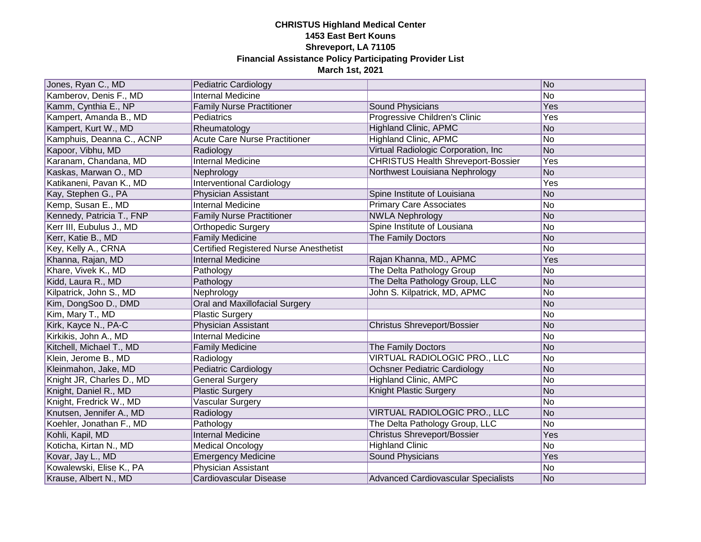| Jones, Ryan C., MD        | Pediatric Cardiology                   |                                            | No              |
|---------------------------|----------------------------------------|--------------------------------------------|-----------------|
| Kamberov, Denis F., MD    | <b>Internal Medicine</b>               |                                            | No              |
| Kamm, Cynthia E., NP      | <b>Family Nurse Practitioner</b>       | Sound Physicians                           | Yes             |
| Kampert, Amanda B., MD    | Pediatrics                             | Progressive Children's Clinic              | Yes             |
| Kampert, Kurt W., MD      | Rheumatology                           | <b>Highland Clinic, APMC</b>               | <b>No</b>       |
| Kamphuis, Deanna C., ACNP | <b>Acute Care Nurse Practitioner</b>   | <b>Highland Clinic, APMC</b>               | No              |
| Kapoor, Vibhu, MD         | Radiology                              | Virtual Radiologic Corporation, Inc        | <b>No</b>       |
| Karanam, Chandana, MD     | <b>Internal Medicine</b>               | <b>CHRISTUS Health Shreveport-Bossier</b>  | Yes             |
| Kaskas, Marwan O., MD     | Nephrology                             | Northwest Louisiana Nephrology             | <b>No</b>       |
| Katikaneni, Pavan K., MD  | <b>Interventional Cardiology</b>       |                                            | Yes             |
| Kay, Stephen G., PA       | Physician Assistant                    | Spine Institute of Louisiana               | No              |
| Kemp, Susan E., MD        | <b>Internal Medicine</b>               | <b>Primary Care Associates</b>             | No              |
| Kennedy, Patricia T., FNP | <b>Family Nurse Practitioner</b>       | <b>NWLA Nephrology</b>                     | No              |
| Kerr III, Eubulus J., MD  | <b>Orthopedic Surgery</b>              | Spine Institute of Lousiana                | No              |
| Kerr, Katie B., MD        | <b>Family Medicine</b>                 | The Family Doctors                         | No              |
| Key, Kelly A., CRNA       | Certified Registered Nurse Anesthetist |                                            | No              |
| Khanna, Rajan, MD         | <b>Internal Medicine</b>               | Rajan Khanna, MD., APMC                    | Yes             |
| Khare, Vivek K., MD       | Pathology                              | The Delta Pathology Group                  | No              |
| Kidd, Laura R., MD        | Pathology                              | The Delta Pathology Group, LLC             | No              |
| Kilpatrick, John S., MD   | Nephrology                             | John S. Kilpatrick, MD, APMC               | No              |
| Kim, DongSoo D., DMD      | Oral and Maxillofacial Surgery         |                                            | No              |
| Kim, Mary T., MD          | <b>Plastic Surgery</b>                 |                                            | No              |
| Kirk, Kayce N., PA-C      | Physician Assistant                    | <b>Christus Shreveport/Bossier</b>         | No              |
| Kirkikis, John A., MD     | <b>Internal Medicine</b>               |                                            | No              |
| Kitchell, Michael T., MD  | <b>Family Medicine</b>                 | The Family Doctors                         | No              |
| Klein, Jerome B., MD      | Radiology                              | VIRTUAL RADIOLOGIC PRO., LLC               | No              |
| Kleinmahon, Jake, MD      | <b>Pediatric Cardiology</b>            | <b>Ochsner Pediatric Cardiology</b>        | <b>No</b>       |
| Knight JR, Charles D., MD | <b>General Surgery</b>                 | <b>Highland Clinic, AMPC</b>               | No              |
| Knight, Daniel R., MD     | <b>Plastic Surgery</b>                 | Knight Plastic Surgery                     | No              |
| Knight, Fredrick W., MD   | Vascular Surgery                       |                                            | No              |
| Knutsen, Jennifer A., MD  | Radiology                              | VIRTUAL RADIOLOGIC PRO., LLC               | <b>No</b>       |
| Koehler, Jonathan F., MD  | Pathology                              | The Delta Pathology Group, LLC             | $\overline{No}$ |
| Kohli, Kapil, MD          | <b>Internal Medicine</b>               | <b>Christus Shreveport/Bossier</b>         | Yes             |
| Koticha, Kirtan N., MD    | <b>Medical Oncology</b>                | <b>Highland Clinic</b>                     | No              |
| Kovar, Jay L., MD         | <b>Emergency Medicine</b>              | Sound Physicians                           | Yes             |
| Kowalewski, Elise K., PA  | <b>Physician Assistant</b>             |                                            | No              |
| Krause, Albert N., MD     | Cardiovascular Disease                 | <b>Advanced Cardiovascular Specialists</b> | No              |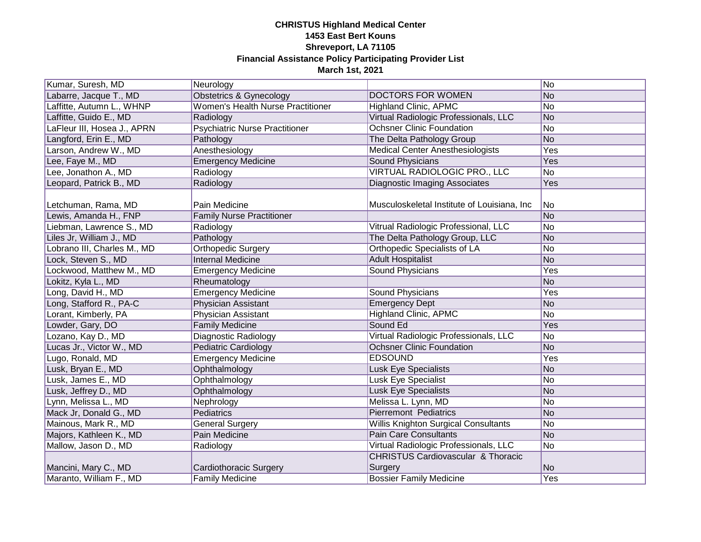| Kumar, Suresh, MD           | Neurology                                |                                               | No        |
|-----------------------------|------------------------------------------|-----------------------------------------------|-----------|
| Labarre, Jacque T., MD      | <b>Obstetrics &amp; Gynecology</b>       | DOCTORS FOR WOMEN                             | No        |
| Laffitte, Autumn L., WHNP   | <b>Women's Health Nurse Practitioner</b> | <b>Highland Clinic, APMC</b>                  | No        |
| Laffitte, Guido E., MD      | Radiology                                | Virtual Radiologic Professionals, LLC         | <b>No</b> |
| LaFleur III, Hosea J., APRN | <b>Psychiatric Nurse Practitioner</b>    | <b>Ochsner Clinic Foundation</b>              | No        |
| Langford, Erin E., MD       | Pathology                                | The Delta Pathology Group                     | <b>No</b> |
| Larson, Andrew W., MD       | Anesthesiology                           | <b>Medical Center Anesthesiologists</b>       | Yes       |
| Lee, Faye M., MD            | <b>Emergency Medicine</b>                | <b>Sound Physicians</b>                       | Yes       |
| Lee, Jonathon A., MD        | Radiology                                | <b>VIRTUAL RADIOLOGIC PRO., LLC</b>           | No        |
| Leopard, Patrick B., MD     | Radiology                                | <b>Diagnostic Imaging Associates</b>          | Yes       |
| Letchuman, Rama, MD         | Pain Medicine                            | Musculoskeletal Institute of Louisiana, Inc   | No        |
| ewis, Amanda H., FNP        | <b>Family Nurse Practitioner</b>         |                                               | No        |
| Liebman, Lawrence S., MD    | Radiology                                | Vitrual Radiologic Professional, LLC          | No        |
| Liles Jr, William J., MD    | Pathology                                | The Delta Pathology Group, LLC                | No        |
| Lobrano III, Charles M., MD | <b>Orthopedic Surgery</b>                | <b>Orthopedic Specialists of LA</b>           | No        |
| Lock, Steven S., MD         | <b>Internal Medicine</b>                 | <b>Adult Hospitalist</b>                      | No        |
| Lockwood, Matthew M., MD    | <b>Emergency Medicine</b>                | Sound Physicians                              | Yes       |
| Lokitz, Kyla L., MD         | Rheumatology                             |                                               | No        |
| Long, David H., MD          | <b>Emergency Medicine</b>                | Sound Physicians                              | Yes       |
| Long, Stafford R., PA-C     | Physician Assistant                      | <b>Emergency Dept</b>                         | No        |
| Lorant, Kimberly, PA        | Physician Assistant                      | <b>Highland Clinic, APMC</b>                  | No        |
| Lowder, Gary, DO            | <b>Family Medicine</b>                   | Sound Ed                                      | Yes       |
| Lozano, Kay D., MD          | Diagnostic Radiology                     | Virtual Radiologic Professionals, LLC         | No        |
| Lucas Jr., Victor W., MD    | <b>Pediatric Cardiology</b>              | <b>Ochsner Clinic Foundation</b>              | No        |
| Lugo, Ronald, MD            | <b>Emergency Medicine</b>                | <b>EDSOUND</b>                                | Yes       |
| Lusk, Bryan E., MD          | Ophthalmology                            | <b>Lusk Eye Specialists</b>                   | No        |
| Lusk, James E., MD          | Ophthalmology                            | Lusk Eye Specialist                           | No        |
| Lusk, Jeffrey D., MD        | Ophthalmology                            | Lusk Eye Specialists                          | No        |
| Lynn, Melissa L., MD        | Nephrology                               | Melissa L. Lynn, MD                           | No        |
| Mack Jr, Donald G., MD      | Pediatrics                               | <b>Pierremont Pediatrics</b>                  | No        |
| Mainous, Mark R., MD        | <b>General Surgery</b>                   | <b>Willis Knighton Surgical Consultants</b>   | No        |
| Majors, Kathleen K., MD     | Pain Medicine                            | <b>Pain Care Consultants</b>                  | No        |
| Mallow, Jason D., MD        | Radiology                                | Virtual Radiologic Professionals, LLC         | No        |
|                             |                                          | <b>CHRISTUS Cardiovascular &amp; Thoracic</b> |           |
| Mancini, Mary C., MD        | Cardiothoracic Surgery                   | Surgery                                       | No        |
| Maranto, William F., MD     | <b>Family Medicine</b>                   | <b>Bossier Family Medicine</b>                | Yes       |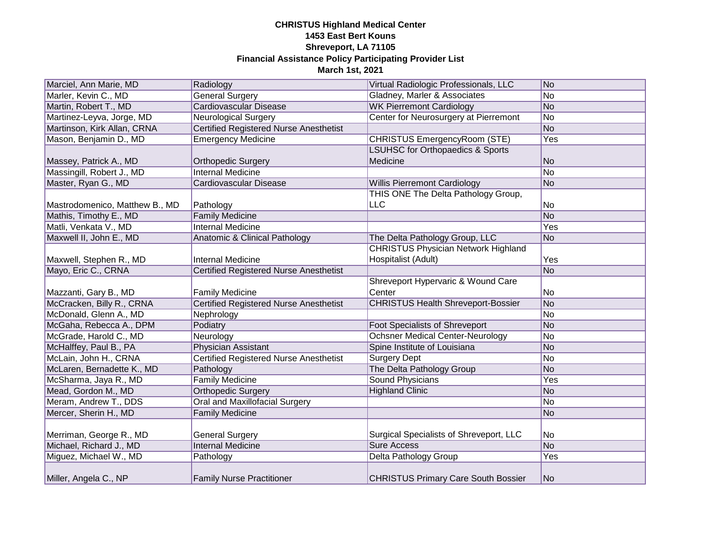| Marciel, Ann Marie, MD         | Radiology                                     | Virtual Radiologic Professionals, LLC       | No  |
|--------------------------------|-----------------------------------------------|---------------------------------------------|-----|
| Marler, Kevin C., MD           | <b>General Surgery</b>                        | Gladney, Marler & Associates                | No  |
| Martin, Robert T., MD          | Cardiovascular Disease                        | <b>WK Pierremont Cardiology</b>             | No  |
| Martinez-Leyva, Jorge, MD      | <b>Neurological Surgery</b>                   | Center for Neurosurgery at Pierremont       | No  |
| Martinson, Kirk Allan, CRNA    | <b>Certified Registered Nurse Anesthetist</b> |                                             | No  |
| Mason, Benjamin D., MD         | <b>Emergency Medicine</b>                     | CHRISTUS EmergencyRoom (STE)                | Yes |
|                                |                                               | <b>LSUHSC for Orthopaedics &amp; Sports</b> |     |
| Massey, Patrick A., MD         | <b>Orthopedic Surgery</b>                     | Medicine                                    | No  |
| Massingill, Robert J., MD      | <b>Internal Medicine</b>                      |                                             | No  |
| Master, Ryan G., MD            | Cardiovascular Disease                        | <b>Willis Pierremont Cardiology</b>         | No  |
|                                |                                               | THIS ONE The Delta Pathology Group,         |     |
| Mastrodomenico, Matthew B., MD | Pathology                                     | LLC                                         | No  |
| Mathis, Timothy E., MD         | <b>Family Medicine</b>                        |                                             | No  |
| Matli, Venkata V., MD          | <b>Internal Medicine</b>                      |                                             | Yes |
| Maxwell II, John E., MD        | Anatomic & Clinical Pathology                 | The Delta Pathology Group, LLC              | No  |
|                                |                                               | <b>CHRISTUS Physician Network Highland</b>  |     |
| Maxwell, Stephen R., MD        | <b>Internal Medicine</b>                      | Hospitalist (Adult)                         | Yes |
| Mayo, Eric C., CRNA            | <b>Certified Registered Nurse Anesthetist</b> |                                             | No  |
|                                |                                               | Shreveport Hypervaric & Wound Care          |     |
| Mazzanti, Gary B., MD          | <b>Family Medicine</b>                        | Center                                      | No  |
| McCracken, Billy R., CRNA      | <b>Certified Registered Nurse Anesthetist</b> | <b>CHRISTUS Health Shreveport-Bossier</b>   | No  |
| McDonald, Glenn A., MD         | Nephrology                                    |                                             | No  |
| McGaha, Rebecca A., DPM        | Podiatry                                      | <b>Foot Specialists of Shreveport</b>       | No  |
| McGrade, Harold C., MD         | Neurology                                     | <b>Ochsner Medical Center-Neurology</b>     | No  |
| McHalffey, Paul B., PA         | Physician Assistant                           | Spine Institute of Louisiana                | No  |
| McLain, John H., CRNA          | <b>Certified Registered Nurse Anesthetist</b> | <b>Surgery Dept</b>                         | No  |
| McLaren, Bernadette K., MD     | Pathology                                     | The Delta Pathology Group                   | No  |
| McSharma, Jaya R., MD          | <b>Family Medicine</b>                        | <b>Sound Physicians</b>                     | Yes |
| Mead, Gordon M., MD            | <b>Orthopedic Surgery</b>                     | <b>Highland Clinic</b>                      | No  |
| Meram, Andrew T., DDS          | <b>Oral and Maxillofacial Surgery</b>         |                                             | No  |
| Mercer, Sherin H., MD          | <b>Family Medicine</b>                        |                                             | No  |
|                                |                                               |                                             |     |
| Merriman, George R., MD        | <b>General Surgery</b>                        | Surgical Specialists of Shreveport, LLC     | No  |
| Michael, Richard J., MD        | <b>Internal Medicine</b>                      | <b>Sure Access</b>                          | No  |
| Miguez, Michael W., MD         | Pathology                                     | Delta Pathology Group                       | Yes |
| Miller, Angela C., NP          | <b>Family Nurse Practitioner</b>              | <b>CHRISTUS Primary Care South Bossier</b>  | lNo |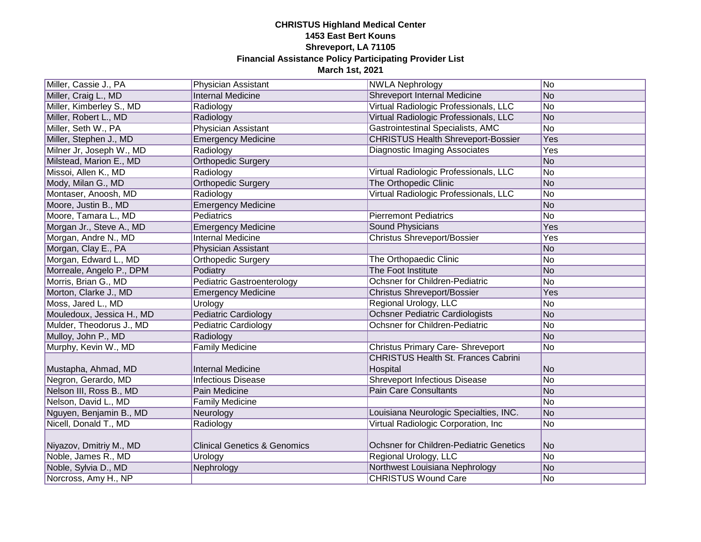| Miller, Cassie J., PA     | Physician Assistant                     | <b>NWLA Nephrology</b>                     | No             |
|---------------------------|-----------------------------------------|--------------------------------------------|----------------|
| Miller, Craig L., MD      | <b>Internal Medicine</b>                | <b>Shreveport Internal Medicine</b>        | No             |
| Miller, Kimberley S., MD  | Radiology                               | Virtual Radiologic Professionals, LLC      | No             |
| Miller, Robert L., MD     | Radiology                               | Virtual Radiologic Professionals, LLC      | No             |
| Miller, Seth W., PA       | Physician Assistant                     | Gastrointestinal Specialists, AMC          | N <sub>o</sub> |
| Miller, Stephen J., MD    | <b>Emergency Medicine</b>               | <b>CHRISTUS Health Shreveport-Bossier</b>  | Yes            |
| Milner Jr, Joseph W., MD  | Radiology                               | <b>Diagnostic Imaging Associates</b>       | Yes            |
| Milstead, Marion E., MD   | <b>Orthopedic Surgery</b>               |                                            | No             |
| Missoi, Allen K., MD      | Radiology                               | Virtual Radiologic Professionals, LLC      | No             |
| Mody, Milan G., MD        | <b>Orthopedic Surgery</b>               | The Orthopedic Clinic                      | No             |
| Montaser, Anoosh, MD      | Radiology                               | Virtual Radiologic Professionals, LLC      | No             |
| Moore, Justin B., MD      | <b>Emergency Medicine</b>               |                                            | No             |
| Moore, Tamara L., MD      | Pediatrics                              | <b>Pierremont Pediatrics</b>               | No             |
| Morgan Jr., Steve A., MD  | <b>Emergency Medicine</b>               | Sound Physicians                           | Yes            |
| Morgan, Andre N., MD      | <b>Internal Medicine</b>                | <b>Christus Shreveport/Bossier</b>         | Yes            |
| Morgan, Clay E., PA       | Physician Assistant                     |                                            | No             |
| Morgan, Edward L., MD     | Orthopedic Surgery                      | The Orthopaedic Clinic                     | No             |
| Morreale, Angelo P., DPM  | Podiatry                                | The Foot Institute                         | No             |
| Morris, Brian G., MD      | <b>Pediatric Gastroenterology</b>       | Ochsner for Children-Pediatric             | No             |
| Morton, Clarke J., MD     | <b>Emergency Medicine</b>               | <b>Christus Shreveport/Bossier</b>         | Yes            |
| Moss, Jared L., MD        | Urology                                 | Regional Urology, LLC                      | No             |
| Mouledoux, Jessica H., MD | <b>Pediatric Cardiology</b>             | <b>Ochsner Pediatric Cardiologists</b>     | No             |
| Mulder, Theodorus J., MD  | <b>Pediatric Cardiology</b>             | <b>Ochsner for Children-Pediatric</b>      | No             |
| Mulloy, John P., MD       | Radiology                               |                                            | No             |
| Murphy, Kevin W., MD      | <b>Family Medicine</b>                  | <b>Christus Primary Care- Shreveport</b>   | No             |
|                           |                                         | <b>CHRISTUS Health St. Frances Cabrini</b> |                |
| Mustapha, Ahmad, MD       | <b>Internal Medicine</b>                | Hospital                                   | No             |
| Negron, Gerardo, MD       | <b>Infectious Disease</b>               | <b>Shreveport Infectious Disease</b>       | No             |
| Nelson III, Ross B., MD   | Pain Medicine                           | <b>Pain Care Consultants</b>               | No             |
| Nelson, David L., MD      | <b>Family Medicine</b>                  |                                            | No             |
| Nguyen, Benjamin B., MD   | Neurology                               | Louisiana Neurologic Specialties, INC.     | No             |
| Nicell, Donald T., MD     | Radiology                               | Virtual Radiologic Corporation, Inc        | No             |
|                           |                                         |                                            |                |
| Niyazov, Dmitriy M., MD   | <b>Clinical Genetics &amp; Genomics</b> | Ochsner for Children-Pediatric Genetics    | No             |
| Noble, James R., MD       | Urology                                 | Regional Urology, LLC                      | No             |
| Noble, Sylvia D., MD      | Nephrology                              | Northwest Louisiana Nephrology             | No             |
| Norcross, Amy H., NP      |                                         | <b>CHRISTUS Wound Care</b>                 | No             |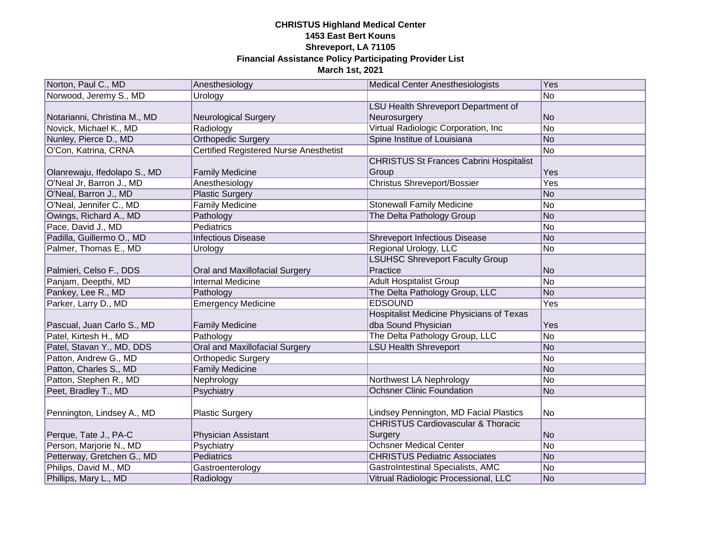| Norton, Paul C., MD          | Anesthesiology                                | <b>Medical Center Anesthesiologists</b>         | Yes             |
|------------------------------|-----------------------------------------------|-------------------------------------------------|-----------------|
| Norwood, Jeremy S., MD       | Urology                                       |                                                 | $\overline{No}$ |
|                              |                                               | LSU Health Shreveport Department of             |                 |
| Notarianni, Christina M., MD | <b>Neurological Surgery</b>                   | Neurosurgery                                    | No              |
| Novick, Michael K., MD       | Radiology                                     | Virtual Radiologic Corporation, Inc             | No              |
| Nunley, Pierce D., MD        | <b>Orthopedic Surgery</b>                     | Spine Institue of Louisiana                     | No              |
| O'Con, Katrina, CRNA         | <b>Certified Registered Nurse Anesthetist</b> |                                                 | No              |
|                              |                                               | <b>CHRISTUS St Frances Cabrini Hospitalist</b>  |                 |
| Olanrewaju, Ifedolapo S., MD | <b>Family Medicine</b>                        | Group                                           | Yes             |
| O'Neal Jr, Barron J., MD     | Anesthesiology                                | <b>Christus Shreveport/Bossier</b>              | Yes             |
| O'Neal, Barron J., MD        | <b>Plastic Surgery</b>                        |                                                 | No              |
| O'Neal, Jennifer C., MD      | <b>Family Medicine</b>                        | <b>Stonewall Family Medicine</b>                | No              |
| Owings, Richard A., MD       | Pathology                                     | The Delta Pathology Group                       | No              |
| Pace, David J., MD           | Pediatrics                                    |                                                 | No              |
| Padilla, Guillermo O., MD    | <b>Infectious Disease</b>                     | <b>Shreveport Infectious Disease</b>            | No              |
| Palmer, Thomas E., MD        | Urology                                       | Regional Urology, LLC                           | No              |
|                              |                                               | <b>LSUHSC Shreveport Faculty Group</b>          |                 |
| Palmieri, Celso F., DDS      | Oral and Maxillofacial Surgery                | Practice                                        | No              |
| Panjam, Deepthi, MD          | <b>Internal Medicine</b>                      | <b>Adult Hospitalist Group</b>                  | No              |
| Pankey, Lee R., MD           | Pathology                                     | The Delta Pathology Group, LLC                  | No              |
| Parker, Larry D., MD         | <b>Emergency Medicine</b>                     | <b>EDSOUND</b>                                  | Yes             |
|                              |                                               | <b>Hospitalist Medicine Physicians of Texas</b> |                 |
| Pascual, Juan Carlo S., MD   | <b>Family Medicine</b>                        | dba Sound Physician                             | Yes             |
| Patel, Kirtesh H., MD        | Pathology                                     | The Delta Pathology Group, LLC                  | No              |
| Patel, Stavan Y., MD, DDS    | Oral and Maxillofacial Surgery                | <b>LSU Health Shreveport</b>                    | No              |
| Patton, Andrew G., MD        | Orthopedic Surgery                            |                                                 | No              |
| Patton, Charles S., MD       | <b>Family Medicine</b>                        |                                                 | No              |
| Patton, Stephen R., MD       | Nephrology                                    | Northwest LA Nephrology                         | No              |
| Peet, Bradley T., MD         | Psychiatry                                    | <b>Ochsner Clinic Foundation</b>                | No              |
|                              |                                               |                                                 |                 |
| Pennington, Lindsey A., MD   | <b>Plastic Surgery</b>                        | Lindsey Pennington, MD Facial Plastics          | No              |
|                              |                                               | <b>CHRISTUS Cardiovascular &amp; Thoracic</b>   |                 |
| Perque, Tate J., PA-C        | Physician Assistant                           | Surgery                                         | lNo             |
| Person, Marjorie N., MD      | Psychiatry                                    | <b>Ochsner Medical Center</b>                   | No              |
| Petterway, Gretchen G., MD   | Pediatrics                                    | <b>CHRISTUS Pediatric Associates</b>            | No              |
| Philips, David M., MD        | Gastroenterology                              | GastroIntestinal Specialists, AMC               | No              |
| Phillips, Mary L., MD        | Radiology                                     | Vitrual Radiologic Processional, LLC            | No              |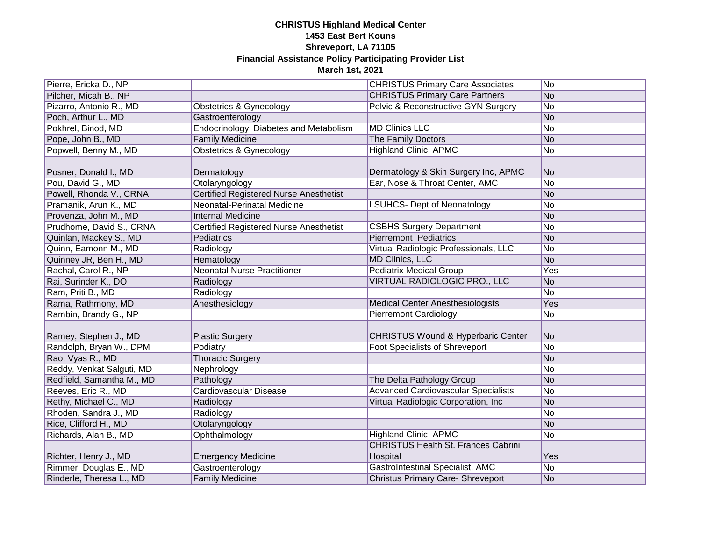| Pierre, Ericka D., NP     |                                               | <b>CHRISTUS Primary Care Associates</b>                | No  |
|---------------------------|-----------------------------------------------|--------------------------------------------------------|-----|
| Pilcher, Micah B., NP     |                                               | <b>CHRISTUS Primary Care Partners</b>                  | No  |
| Pizarro, Antonio R., MD   | Obstetrics & Gynecology                       | Pelvic & Reconstructive GYN Surgery                    | No  |
| Poch, Arthur L., MD       | Gastroenterology                              |                                                        | No  |
| Pokhrel, Binod, MD        | Endocrinology, Diabetes and Metabolism        | <b>MD Clinics LLC</b>                                  | No  |
| Pope, John B., MD         | <b>Family Medicine</b>                        | The Family Doctors                                     | No  |
| Popwell, Benny M., MD     | <b>Obstetrics &amp; Gynecology</b>            | <b>Highland Clinic, APMC</b>                           | No  |
| Posner, Donald I., MD     | Dermatology                                   | Dermatology & Skin Surgery Inc, APMC                   | No  |
| Pou, David G., MD         | Otolaryngology                                | Ear, Nose & Throat Center, AMC                         | No  |
| Powell, Rhonda V., CRNA   | <b>Certified Registered Nurse Anesthetist</b> |                                                        | No  |
| Pramanik, Arun K., MD     | Neonatal-Perinatal Medicine                   | <b>LSUHCS- Dept of Neonatology</b>                     | No  |
| Provenza, John M., MD     | <b>Internal Medicine</b>                      |                                                        | No  |
| Prudhome, David S., CRNA  | <b>Certified Registered Nurse Anesthetist</b> | <b>CSBHS Surgery Department</b>                        | No  |
| Quinlan, Mackey S., MD    | Pediatrics                                    | <b>Pierremont Pediatrics</b>                           | No  |
| Quinn, Eamonn M., MD      | Radiology                                     | Virtual Radiologic Professionals, LLC                  | No  |
| Quinney JR, Ben H., MD    | Hematology                                    | <b>MD Clinics, LLC</b>                                 | No  |
| Rachal, Carol R., NP      | <b>Neonatal Nurse Practitioner</b>            | <b>Pediatrix Medical Group</b>                         | Yes |
| Rai, Surinder K., DO      | Radiology                                     | VIRTUAL RADIOLOGIC PRO., LLC                           | No  |
| Ram, Priti B., MD         | Radiology                                     |                                                        | No  |
| Rama, Rathmony, MD        | Anesthesiology                                | <b>Medical Center Anesthesiologists</b>                | Yes |
| Rambin, Brandy G., NP     |                                               | <b>Pierremont Cardiology</b>                           | No  |
| Ramey, Stephen J., MD     | <b>Plastic Surgery</b>                        | <b>CHRISTUS Wound &amp; Hyperbaric Center</b>          | No  |
| Randolph, Bryan W., DPM   | Podiatry                                      | <b>Foot Specialists of Shreveport</b>                  | No  |
| Rao, Vyas R., MD          | <b>Thoracic Surgery</b>                       |                                                        | No  |
| Reddy, Venkat Salguti, MD | Nephrology                                    |                                                        | No  |
| Redfield, Samantha M., MD | Pathology                                     | The Delta Pathology Group                              | No  |
| Reeves, Eric R., MD       | <b>Cardiovascular Disease</b>                 | <b>Advanced Cardiovascular Specialists</b>             | No  |
| Rethy, Michael C., MD     | Radiology                                     | Virtual Radiologic Corporation, Inc                    | No  |
| Rhoden, Sandra J., MD     | Radiology                                     |                                                        | No  |
| Rice, Clifford H., MD     | Otolaryngology                                |                                                        | No  |
| Richards, Alan B., MD     | Ophthalmology                                 | <b>Highland Clinic, APMC</b>                           | No  |
| Richter, Henry J., MD     | <b>Emergency Medicine</b>                     | <b>CHRISTUS Health St. Frances Cabrini</b><br>Hospital | Yes |
| Rimmer, Douglas E., MD    | Gastroenterology                              | GastroIntestinal Specialist, AMC                       | No  |
| Rinderle, Theresa L., MD  | <b>Family Medicine</b>                        | <b>Christus Primary Care- Shreveport</b>               | No  |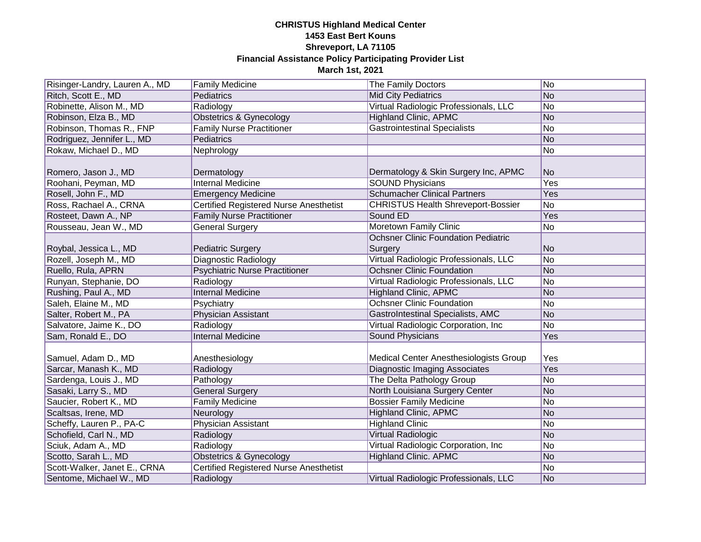| Risinger-Landry, Lauren A., MD | <b>Family Medicine</b>                        | The Family Doctors                                    | No  |
|--------------------------------|-----------------------------------------------|-------------------------------------------------------|-----|
| Ritch, Scott E., MD            | Pediatrics                                    | <b>Mid City Pediatrics</b>                            | No  |
| Robinette, Alison M., MD       | Radiology                                     | Virtual Radiologic Professionals, LLC                 | No  |
| Robinson, Elza B., MD          | <b>Obstetrics &amp; Gynecology</b>            | <b>Highland Clinic, APMC</b>                          | No  |
| Robinson, Thomas R., FNP       | <b>Family Nurse Practitioner</b>              | <b>Gastrointestinal Specialists</b>                   | No  |
| Rodriguez, Jennifer L., MD     | Pediatrics                                    |                                                       | No  |
| Rokaw, Michael D., MD          | Nephrology                                    |                                                       | No  |
| Romero, Jason J., MD           | Dermatology                                   | Dermatology & Skin Surgery Inc, APMC                  | No  |
| Roohani, Peyman, MD            | <b>Internal Medicine</b>                      | <b>SOUND Physicians</b>                               | Yes |
| Rosell, John F., MD            | <b>Emergency Medicine</b>                     | <b>Schumacher Clinical Partners</b>                   | Yes |
| Ross, Rachael A., CRNA         | <b>Certified Registered Nurse Anesthetist</b> | <b>CHRISTUS Health Shreveport-Bossier</b>             | No  |
| Rosteet, Dawn A., NP           | <b>Family Nurse Practitioner</b>              | Sound ED                                              | Yes |
| Rousseau, Jean W., MD          | General Surgery                               | Moretown Family Clinic                                | No  |
| Roybal, Jessica L., MD         | <b>Pediatric Surgery</b>                      | <b>Ochsner Clinic Foundation Pediatric</b><br>Surgery | No  |
| Rozell, Joseph M., MD          | Diagnostic Radiology                          | Virtual Radiologic Professionals, LLC                 | No  |
| Ruello, Rula, APRN             | <b>Psychiatric Nurse Practitioner</b>         | <b>Ochsner Clinic Foundation</b>                      | No  |
| Runyan, Stephanie, DO          | Radiology                                     | Virtual Radiologic Professionals, LLC                 | No  |
| Rushing, Paul A., MD           | <b>Internal Medicine</b>                      | <b>Highland Clinic, APMC</b>                          | No  |
| Saleh, Elaine M., MD           | Psychiatry                                    | <b>Ochsner Clinic Foundation</b>                      | No  |
| Salter, Robert M., PA          | Physician Assistant                           | <b>GastroIntestinal Specialists, AMC</b>              | No  |
| Salvatore, Jaime K., DO        | Radiology                                     | Virtual Radiologic Corporation, Inc                   | No  |
| Sam, Ronald E., DO             | <b>Internal Medicine</b>                      | <b>Sound Physicians</b>                               | Yes |
| Samuel, Adam D., MD            | Anesthesiology                                | <b>Medical Center Anesthesiologists Group</b>         | Yes |
| Sarcar, Manash K., MD          | Radiology                                     | <b>Diagnostic Imaging Associates</b>                  | Yes |
| Sardenga, Louis J., MD         | Pathology                                     | The Delta Pathology Group                             | No  |
| Sasaki, Larry S., MD           | <b>General Surgery</b>                        | North Louisiana Surgery Center                        | No  |
| Saucier, Robert K., MD         | <b>Family Medicine</b>                        | <b>Bossier Family Medicine</b>                        | No  |
| Scaltsas, Irene, MD            | Neurology                                     | <b>Highland Clinic, APMC</b>                          | No  |
| Scheffy, Lauren P., PA-C       | <b>Physician Assistant</b>                    | <b>Highland Clinic</b>                                | No  |
| Schofield, Carl N., MD         | Radiology                                     | Virtual Radiologic                                    | No  |
| Sciuk, Adam A., MD             | Radiology                                     | Virtual Radiologic Corporation, Inc                   | No  |
| Scotto, Sarah L., MD           | Obstetrics & Gynecology                       | <b>Highland Clinic. APMC</b>                          | No  |
| Scott-Walker, Janet E., CRNA   | <b>Certified Registered Nurse Anesthetist</b> |                                                       | No  |
| Sentome, Michael W., MD        | Radiology                                     | Virtual Radiologic Professionals, LLC                 | No  |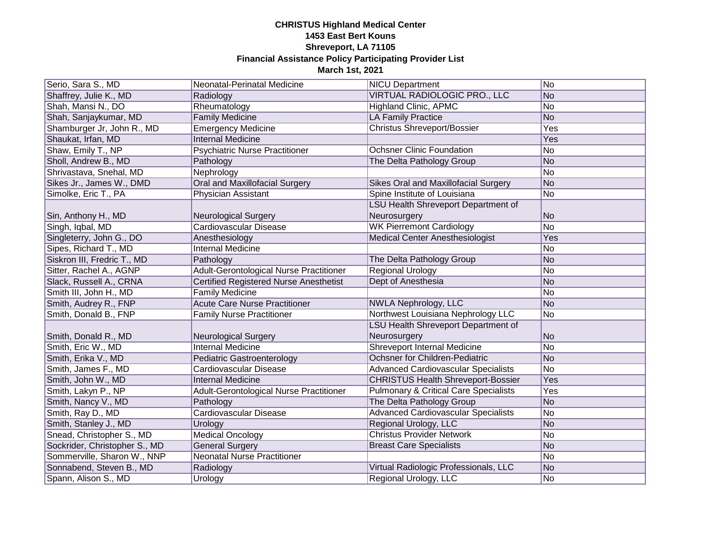| Serio, Sara S., MD            | Neonatal-Perinatal Medicine                   | <b>NICU Department</b>                           | No              |
|-------------------------------|-----------------------------------------------|--------------------------------------------------|-----------------|
| Shaffrey, Julie K., MD        | Radiology                                     | VIRTUAL RADIOLOGIC PRO., LLC                     | N <sub>O</sub>  |
| Shah, Mansi N., DO            | Rheumatology                                  | <b>Highland Clinic, APMC</b>                     | No              |
| Shah, Sanjaykumar, MD         | <b>Family Medicine</b>                        | LA Family Practice                               | <b>No</b>       |
| Shamburger Jr, John R., MD    | <b>Emergency Medicine</b>                     | <b>Christus Shreveport/Bossier</b>               | Yes             |
| Shaukat, Irfan, MD            | <b>Internal Medicine</b>                      |                                                  | Yes             |
| Shaw, Emily T., NP            | <b>Psychiatric Nurse Practitioner</b>         | <b>Ochsner Clinic Foundation</b>                 | No              |
| Sholl, Andrew B., MD          | Pathology                                     | The Delta Pathology Group                        | No              |
| Shrivastava, Snehal, MD       | Nephrology                                    |                                                  | No              |
| Sikes Jr., James W., DMD      | Oral and Maxillofacial Surgery                | Sikes Oral and Maxillofacial Surgery             | No              |
| Simolke, Eric T., PA          | Physician Assistant                           | Spine Institute of Louisiana                     | No              |
|                               |                                               | LSU Health Shreveport Department of              |                 |
| Sin, Anthony H., MD           | Neurological Surgery                          | Neurosurgery                                     | No              |
| Singh, Iqbal, MD              | Cardiovascular Disease                        | <b>WK Pierremont Cardiology</b>                  | No              |
| Singleterry, John G., DO      | Anesthesiology                                | <b>Medical Center Anesthesiologist</b>           | Yes             |
| Sipes, Richard T., MD         | <b>Internal Medicine</b>                      |                                                  | No              |
| Siskron III, Fredric T., MD   | Pathology                                     | The Delta Pathology Group                        | No              |
| Sitter, Rachel A., AGNP       | Adult-Gerontological Nurse Practitioner       | <b>Regional Urology</b>                          | No              |
| Slack, Russell A., CRNA       | <b>Certified Registered Nurse Anesthetist</b> | Dept of Anesthesia                               | No              |
| Smith III, John H., MD        | <b>Family Medicine</b>                        |                                                  | No.             |
| Smith, Audrey R., FNP         | <b>Acute Care Nurse Practitioner</b>          | <b>NWLA Nephrology, LLC</b>                      | No              |
| Smith, Donald B., FNP         | <b>Family Nurse Practitioner</b>              | Northwest Louisiana Nephrology LLC               | No              |
|                               |                                               | <b>LSU Health Shreveport Department of</b>       |                 |
| Smith, Donald R., MD          | <b>Neurological Surgery</b>                   | Neurosurgery                                     | No              |
| Smith, Eric W., MD            | <b>Internal Medicine</b>                      | <b>Shreveport Internal Medicine</b>              | No              |
| Smith, Erika V., MD           | Pediatric Gastroenterology                    | <b>Ochsner for Children-Pediatric</b>            | No              |
| Smith, James F., MD           | <b>Cardiovascular Disease</b>                 | <b>Advanced Cardiovascular Specialists</b>       | $\overline{No}$ |
| Smith, John W., MD            | <b>Internal Medicine</b>                      | <b>CHRISTUS Health Shreveport-Bossier</b>        | Yes             |
| Smith, Lakyn P., NP           | Adult-Gerontological Nurse Practitioner       | <b>Pulmonary &amp; Critical Care Specialists</b> | Yes             |
| Smith, Nancy V., MD           | Pathology                                     | The Delta Pathology Group                        | No              |
| Smith, Ray D., MD             | Cardiovascular Disease                        | <b>Advanced Cardiovascular Specialists</b>       | No              |
| Smith, Stanley J., MD         | Urology                                       | Regional Urology, LLC                            | No              |
| Snead, Christopher S., MD     | <b>Medical Oncology</b>                       | <b>Christus Provider Network</b>                 | No              |
| Sockrider, Christopher S., MD | <b>General Surgery</b>                        | <b>Breast Care Specialists</b>                   | No              |
| Sommerville, Sharon W., NNP   | <b>Neonatal Nurse Practitioner</b>            |                                                  | No              |
| Sonnabend, Steven B., MD      | Radiology                                     | Virtual Radiologic Professionals, LLC            | No              |
| Spann, Alison S., MD          | Urology                                       | Regional Urology, LLC                            | No              |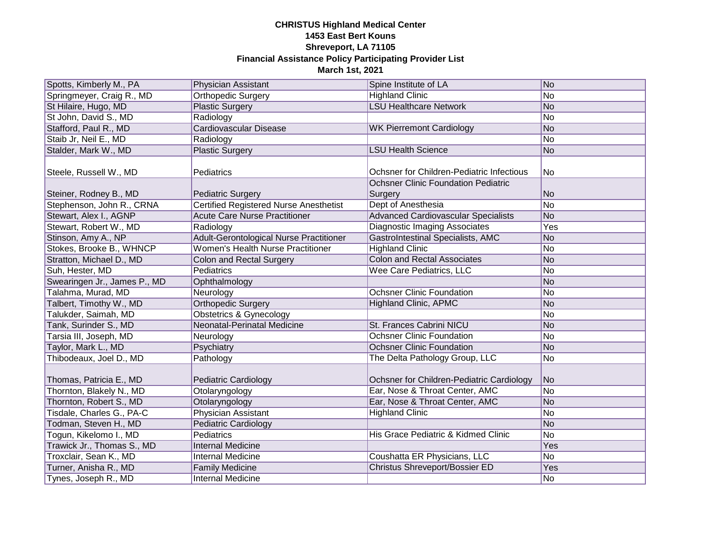| Spotts, Kimberly M., PA      | <b>Physician Assistant</b>                    | Spine Institute of LA                                                                   | $\overline{\textsf{No}}$ |
|------------------------------|-----------------------------------------------|-----------------------------------------------------------------------------------------|--------------------------|
| Springmeyer, Craig R., MD    | Orthopedic Surgery                            | <b>Highland Clinic</b>                                                                  | No                       |
| St Hilaire, Hugo, MD         | <b>Plastic Surgery</b>                        | <b>LSU Healthcare Network</b>                                                           | No                       |
| St John, David S., MD        | Radiology                                     |                                                                                         | No                       |
| Stafford, Paul R., MD        | <b>Cardiovascular Disease</b>                 | <b>WK Pierremont Cardiology</b>                                                         | No                       |
| Staib Jr, Neil E., MD        | Radiology                                     |                                                                                         | No                       |
| Stalder, Mark W., MD         | <b>Plastic Surgery</b>                        | <b>LSU Health Science</b>                                                               | No                       |
| Steele, Russell W., MD       | Pediatrics                                    | Ochsner for Children-Pediatric Infectious<br><b>Ochsner Clinic Foundation Pediatric</b> | No.                      |
| Steiner, Rodney B., MD       | <b>Pediatric Surgery</b>                      | Surgery                                                                                 | lNo                      |
| Stephenson, John R., CRNA    | <b>Certified Registered Nurse Anesthetist</b> | Dept of Anesthesia                                                                      | No                       |
| Stewart, Alex I., AGNP       | <b>Acute Care Nurse Practitioner</b>          | <b>Advanced Cardiovascular Specialists</b>                                              | No                       |
| Stewart, Robert W., MD       | Radiology                                     | <b>Diagnostic Imaging Associates</b>                                                    | Yes                      |
| Stinson, Amy A., NP          | Adult-Gerontological Nurse Practitioner       | <b>GastroIntestinal Specialists, AMC</b>                                                | No                       |
| Stokes, Brooke B., WHNCP     | <b>Women's Health Nurse Practitioner</b>      | <b>Highland Clinic</b>                                                                  | No                       |
| Stratton, Michael D., MD     | Colon and Rectal Surgery                      | <b>Colon and Rectal Associates</b>                                                      | No                       |
| Suh, Hester, MD              | Pediatrics                                    | Wee Care Pediatrics, LLC                                                                | No                       |
| Swearingen Jr., James P., MD | Ophthalmology                                 |                                                                                         | No                       |
| Talahma, Murad, MD           | Neurology                                     | <b>Ochsner Clinic Foundation</b>                                                        | No                       |
| Talbert, Timothy W., MD      | <b>Orthopedic Surgery</b>                     | <b>Highland Clinic, APMC</b>                                                            | No                       |
| Talukder, Saimah, MD         | <b>Obstetrics &amp; Gynecology</b>            |                                                                                         | No                       |
| Tank, Surinder S., MD        | Neonatal-Perinatal Medicine                   | St. Frances Cabrini NICU                                                                | No                       |
| Tarsia III, Joseph, MD       | Neurology                                     | <b>Ochsner Clinic Foundation</b>                                                        | No                       |
| Taylor, Mark L., MD          | Psychiatry                                    | <b>Ochsner Clinic Foundation</b>                                                        | No                       |
| Thibodeaux, Joel D., MD      | Pathology                                     | The Delta Pathology Group, LLC                                                          | No                       |
| Thomas, Patricia E., MD      | Pediatric Cardiology                          | Ochsner for Children-Pediatric Cardiology                                               | No                       |
| Thornton, Blakely N., MD     | Otolaryngology                                | Ear, Nose & Throat Center, AMC                                                          | No                       |
| Thornton, Robert S., MD      | Otolaryngology                                | Ear, Nose & Throat Center, AMC                                                          | No                       |
| Tisdale, Charles G., PA-C    | <b>Physician Assistant</b>                    | <b>Highland Clinic</b>                                                                  | No                       |
| Todman, Steven H., MD        | <b>Pediatric Cardiology</b>                   |                                                                                         | No                       |
| Togun, Kikelomo I., MD       | Pediatrics                                    | His Grace Pediatric & Kidmed Clinic                                                     | No                       |
| Trawick Jr., Thomas S., MD   | <b>Internal Medicine</b>                      |                                                                                         | Yes                      |
| Troxclair, Sean K., MD       | <b>Internal Medicine</b>                      | Coushatta ER Physicians, LLC                                                            | No                       |
| Turner, Anisha R., MD        | <b>Family Medicine</b>                        | Christus Shreveport/Bossier ED                                                          | Yes                      |
| Tynes, Joseph R., MD         | <b>Internal Medicine</b>                      |                                                                                         | No.                      |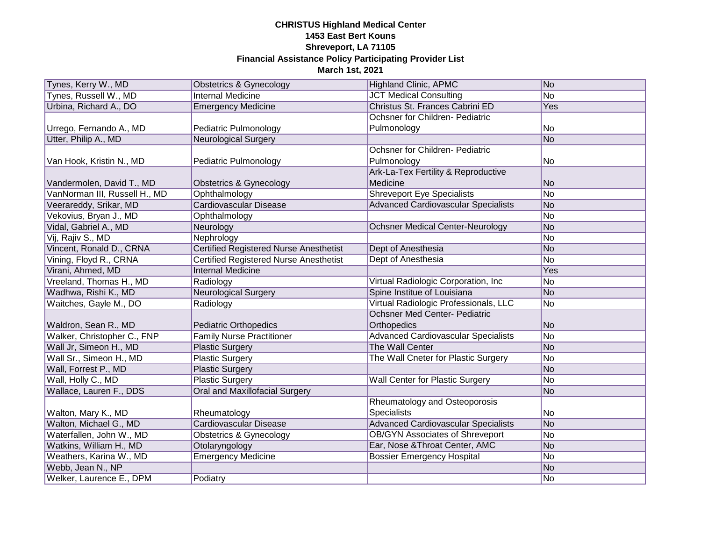| Tynes, Kerry W., MD           | Obstetrics & Gynecology                       | <b>Highland Clinic, APMC</b>               | No              |
|-------------------------------|-----------------------------------------------|--------------------------------------------|-----------------|
| Tynes, Russell W., MD         | <b>Internal Medicine</b>                      | <b>JCT Medical Consulting</b>              | $\overline{No}$ |
| Urbina, Richard A., DO        | <b>Emergency Medicine</b>                     | Christus St. Frances Cabrini ED            | Yes             |
|                               |                                               | Ochsner for Children- Pediatric            |                 |
| Urrego, Fernando A., MD       | Pediatric Pulmonology                         | Pulmonology                                | No              |
| Utter, Philip A., MD          | <b>Neurological Surgery</b>                   |                                            | No              |
|                               |                                               | Ochsner for Children- Pediatric            |                 |
| Van Hook, Kristin N., MD      | Pediatric Pulmonology                         | Pulmonology                                | No              |
|                               |                                               | Ark-La-Tex Fertility & Reproductive        |                 |
| Vandermolen, David T., MD     | <b>Obstetrics &amp; Gynecology</b>            | Medicine                                   | lNo             |
| VanNorman III, Russell H., MD | Ophthalmology                                 | <b>Shreveport Eye Specialists</b>          | No              |
| Veerareddy, Srikar, MD        | Cardiovascular Disease                        | <b>Advanced Cardiovascular Specialists</b> | No              |
| Vekovius, Bryan J., MD        | Ophthalmology                                 |                                            | No              |
| Vidal, Gabriel A., MD         | Neurology                                     | <b>Ochsner Medical Center-Neurology</b>    | No              |
| Vij, Rajiv S., MD             | Nephrology                                    |                                            | No              |
| Vincent, Ronald D., CRNA      | <b>Certified Registered Nurse Anesthetist</b> | Dept of Anesthesia                         | No              |
| Vining, Floyd R., CRNA        | <b>Certified Registered Nurse Anesthetist</b> | Dept of Anesthesia                         | No              |
| Virani, Ahmed, MD             | <b>Internal Medicine</b>                      |                                            | Yes             |
| Vreeland, Thomas H., MD       | Radiology                                     | Virtual Radiologic Corporation, Inc        | No              |
| Wadhwa, Rishi K., MD          | <b>Neurological Surgery</b>                   | Spine Institue of Louisiana                | No              |
| Waitches, Gayle M., DO        | Radiology                                     | Virtual Radiologic Professionals, LLC      | No              |
|                               |                                               | <b>Ochsner Med Center- Pediatric</b>       |                 |
| Waldron, Sean R., MD          | <b>Pediatric Orthopedics</b>                  | Orthopedics                                | No              |
| Walker, Christopher C., FNP   | <b>Family Nurse Practitioner</b>              | <b>Advanced Cardiovascular Specialists</b> | No              |
| Wall Jr, Simeon H., MD        | <b>Plastic Surgery</b>                        | The Wall Center                            | No              |
| Wall Sr., Simeon H., MD       | <b>Plastic Surgery</b>                        | The Wall Cneter for Plastic Surgery        | No              |
| Wall, Forrest P., MD          | <b>Plastic Surgery</b>                        |                                            | No              |
| Wall, Holly C., MD            | <b>Plastic Surgery</b>                        | <b>Wall Center for Plastic Surgery</b>     | No              |
| Wallace, Lauren F., DDS       | Oral and Maxillofacial Surgery                |                                            | No              |
|                               |                                               | Rheumatology and Osteoporosis              |                 |
| Walton, Mary K., MD           | Rheumatology                                  | <b>Specialists</b>                         | No              |
| Walton, Michael G., MD        | <b>Cardiovascular Disease</b>                 | <b>Advanced Cardiovascular Specialists</b> | No              |
| Waterfallen, John W., MD      | <b>Obstetrics &amp; Gynecology</b>            | <b>OB/GYN Associates of Shreveport</b>     | No              |
| Watkins, William H., MD       | Otolaryngology                                | Ear, Nose & Throat Center, AMC             | No              |
| Weathers, Karina W., MD       | <b>Emergency Medicine</b>                     | <b>Bossier Emergency Hospital</b>          | No              |
| Webb, Jean N., NP             |                                               |                                            | No              |
| Welker, Laurence E., DPM      | Podiatry                                      |                                            | No              |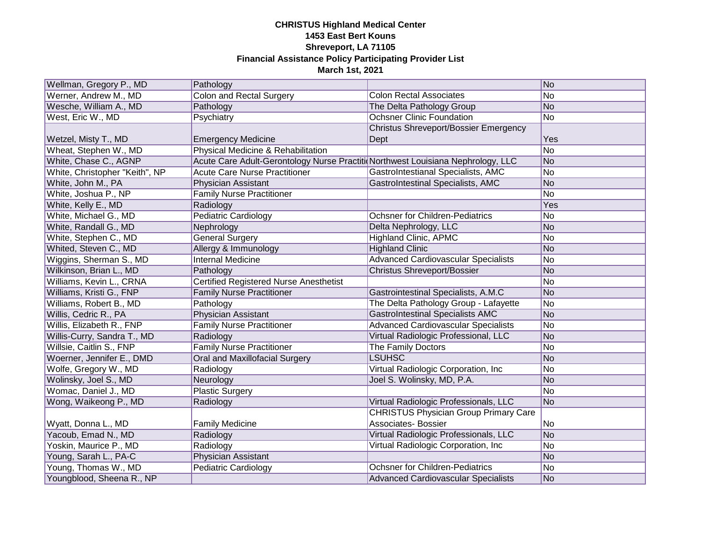| Wellman, Gregory P., MD        | Pathology                                                                       |                                              | No  |
|--------------------------------|---------------------------------------------------------------------------------|----------------------------------------------|-----|
| Werner, Andrew M., MD          | <b>Colon and Rectal Surgery</b>                                                 | <b>Colon Rectal Associates</b>               | No  |
| Wesche, William A., MD         | Pathology                                                                       | The Delta Pathology Group                    | No  |
| West, Eric W., MD              | Psychiatry                                                                      | <b>Ochsner Clinic Foundation</b>             | No  |
|                                |                                                                                 | Christus Shreveport/Bossier Emergency        |     |
| Wetzel, Misty T., MD           | <b>Emergency Medicine</b>                                                       | Dept                                         | Yes |
| Wheat, Stephen W., MD          | Physical Medicine & Rehabilitation                                              |                                              | No  |
| White, Chase C., AGNP          | Acute Care Adult-Gerontology Nurse Practiti Northwest Louisiana Nephrology, LLC |                                              | No  |
| White, Christopher "Keith", NP | <b>Acute Care Nurse Practitioner</b>                                            | GastroIntestianal Specialists, AMC           | No  |
| White, John M., PA             | <b>Physician Assistant</b>                                                      | <b>GastroIntestinal Specialists, AMC</b>     | No  |
| White, Joshua P., NP           | <b>Family Nurse Practitioner</b>                                                |                                              | No  |
| White, Kelly E., MD            | Radiology                                                                       |                                              | Yes |
| White, Michael G., MD          | Pediatric Cardiology                                                            | <b>Ochsner for Children-Pediatrics</b>       | No  |
| White, Randall G., MD          | Nephrology                                                                      | Delta Nephrology, LLC                        | No  |
| White, Stephen C., MD          | <b>General Surgery</b>                                                          | <b>Highland Clinic, APMC</b>                 | No  |
| Whited, Steven C., MD          | Allergy & Immunology                                                            | <b>Highland Clinic</b>                       | No  |
| Wiggins, Sherman S., MD        | Internal Medicine                                                               | <b>Advanced Cardiovascular Specialists</b>   | No  |
| Wilkinson, Brian L., MD        | Pathology                                                                       | <b>Christus Shreveport/Bossier</b>           | No  |
| Williams, Kevin L., CRNA       | <b>Certified Registered Nurse Anesthetist</b>                                   |                                              | No  |
| Williams, Kristi G., FNP       | <b>Family Nurse Practitioner</b>                                                | Gastrointestinal Specialists, A.M.C          | No  |
| Williams, Robert B., MD        | Pathology                                                                       | The Delta Pathology Group - Lafayette        | No  |
| Willis, Cedric R., PA          | Physician Assistant                                                             | <b>GastroIntestinal Specialists AMC</b>      | No  |
| Willis, Elizabeth R., FNP      | <b>Family Nurse Practitioner</b>                                                | <b>Advanced Cardiovascular Specialists</b>   | No  |
| Willis-Curry, Sandra T., MD    | Radiology                                                                       | Virtual Radiologic Professional, LLC         | No  |
| Willsie, Caitlin S., FNP       | <b>Family Nurse Practitioner</b>                                                | The Family Doctors                           | No  |
| Woerner, Jennifer E., DMD      | Oral and Maxillofacial Surgery                                                  | <b>LSUHSC</b>                                | No  |
| Wolfe, Gregory W., MD          | Radiology                                                                       | Virtual Radiologic Corporation, Inc          | No  |
| Wolinsky, Joel S., MD          | Neurology                                                                       | Joel S. Wolinsky, MD, P.A.                   | No  |
| Womac, Daniel J., MD           | <b>Plastic Surgery</b>                                                          |                                              | No  |
| Wong, Waikeong P., MD          | Radiology                                                                       | Virtual Radiologic Professionals, LLC        | No  |
|                                |                                                                                 | <b>CHRISTUS Physician Group Primary Care</b> |     |
| Wyatt, Donna L., MD            | <b>Family Medicine</b>                                                          | <b>Associates- Bossier</b>                   | No  |
| Yacoub, Emad N., MD            | Radiology                                                                       | Virtual Radiologic Professionals, LLC        | No  |
| Yoskin, Maurice P., MD         | Radiology                                                                       | Virtual Radiologic Corporation, Inc          | No  |
| Young, Sarah L., PA-C          | Physician Assistant                                                             |                                              | No  |
| Young, Thomas W., MD           | <b>Pediatric Cardiology</b>                                                     | Ochsner for Children-Pediatrics              | No  |
| Youngblood, Sheena R., NP      |                                                                                 | Advanced Cardiovascular Specialists          | No  |